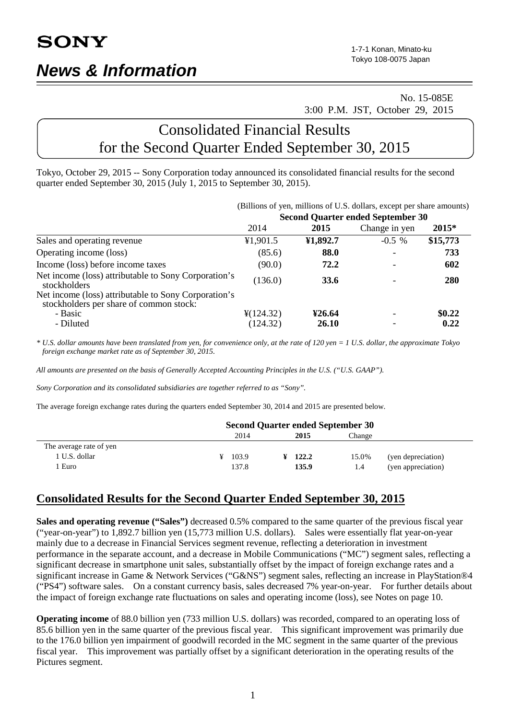# No. 15-085E 3:00 P.M. JST, October 29, 2015

# Consolidated Financial Results for the Second Quarter Ended September 30, 2015

Tokyo, October 29, 2015 -- Sony Corporation today announced its consolidated financial results for the second quarter ended September 30, 2015 (July 1, 2015 to September 30, 2015).

|                                                                                                 | (Billions of yen, millions of U.S. dollars, except per share amounts) |              |                                          |          |  |  |
|-------------------------------------------------------------------------------------------------|-----------------------------------------------------------------------|--------------|------------------------------------------|----------|--|--|
|                                                                                                 |                                                                       |              | <b>Second Quarter ended September 30</b> |          |  |  |
|                                                                                                 | 2014                                                                  | 2015         | Change in yen                            | $2015*$  |  |  |
| Sales and operating revenue                                                                     | ¥1,901.5                                                              | ¥1,892.7     | $-0.5\%$                                 | \$15,773 |  |  |
| Operating income (loss)                                                                         | (85.6)                                                                | 88.0         |                                          | 733      |  |  |
| Income (loss) before income taxes                                                               | (90.0)                                                                | 72.2         |                                          | 602      |  |  |
| Net income (loss) attributable to Sony Corporation's<br>stockholders                            | (136.0)                                                               | 33.6         |                                          | 280      |  |  |
| Net income (loss) attributable to Sony Corporation's<br>stockholders per share of common stock: |                                                                       |              |                                          |          |  |  |
| - Basic                                                                                         | $\frac{1}{2}(124.32)$                                                 | ¥26.64       |                                          | \$0.22\$ |  |  |
| - Diluted                                                                                       | (124.32)                                                              | <b>26.10</b> |                                          | 0.22     |  |  |

*\* U.S. dollar amounts have been translated from yen, for convenience only, at the rate of 120 yen = 1 U.S. dollar, the approximate Tokyo foreign exchange market rate as of September 30, 2015.*

*All amounts are presented on the basis of Generally Accepted Accounting Principles in the U.S. ("U.S. GAAP").*

*Sony Corporation and its consolidated subsidiaries are together referred to as "Sony".*

The average foreign exchange rates during the quarters ended September 30, 2014 and 2015 are presented below.

|                         | <b>Second Quarter ended September 30</b> |       |  |       |        |                    |
|-------------------------|------------------------------------------|-------|--|-------|--------|--------------------|
|                         |                                          | 2014  |  | 2015  | Change |                    |
| The average rate of yen |                                          |       |  |       |        |                    |
| 1 U.S. dollar           |                                          | 103.9 |  | 122.2 | 15.0%  | (yen depreciation) |
| Euro                    |                                          | 137.8 |  | 135.9 | 1.4    | (yen appreciation) |

# **Consolidated Results for the Second Quarter Ended September 30, 2015**

**Sales and operating revenue ("Sales")** decreased 0.5% compared to the same quarter of the previous fiscal year ("year-on-year") to 1,892.7 billion yen (15,773 million U.S. dollars). Sales were essentially flat year-on-year mainly due to a decrease in Financial Services segment revenue, reflecting a deterioration in investment performance in the separate account, and a decrease in Mobile Communications ("MC") segment sales, reflecting a significant decrease in smartphone unit sales, substantially offset by the impact of foreign exchange rates and a significant increase in Game & Network Services ("G&NS") segment sales, reflecting an increase in PlayStation®4 ("PS4") software sales. On a constant currency basis, sales decreased 7% year-on-year. For further details about the impact of foreign exchange rate fluctuations on sales and operating income (loss), see Notes on page 10.

**Operating income** of 88.0 billion yen (733 million U.S. dollars) was recorded, compared to an operating loss of 85.6 billion yen in the same quarter of the previous fiscal year. This significant improvement was primarily due to the 176.0 billion yen impairment of goodwill recorded in the MC segment in the same quarter of the previous fiscal year. This improvement was partially offset by a significant deterioration in the operating results of the Pictures segment.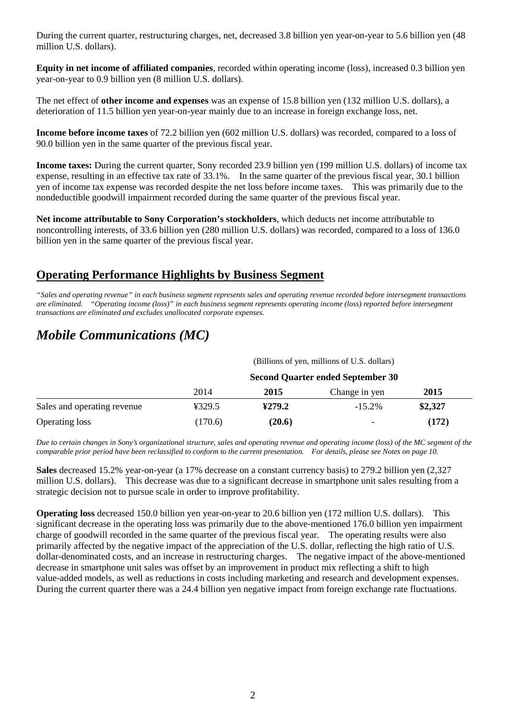During the current quarter, restructuring charges, net, decreased 3.8 billion yen year-on-year to 5.6 billion yen (48 million U.S. dollars).

**Equity in net income of affiliated companies**, recorded within operating income (loss), increased 0.3 billion yen year-on-year to 0.9 billion yen (8 million U.S. dollars).

The net effect of **other income and expenses** was an expense of 15.8 billion yen (132 million U.S. dollars), a deterioration of 11.5 billion yen year-on-year mainly due to an increase in foreign exchange loss, net.

**Income before income taxes** of 72.2 billion yen (602 million U.S. dollars) was recorded, compared to a loss of 90.0 billion yen in the same quarter of the previous fiscal year.

**Income taxes:** During the current quarter, Sony recorded 23.9 billion yen (199 million U.S. dollars) of income tax expense, resulting in an effective tax rate of 33.1%. In the same quarter of the previous fiscal year, 30.1 billion yen of income tax expense was recorded despite the net loss before income taxes. This was primarily due to the nondeductible goodwill impairment recorded during the same quarter of the previous fiscal year.

**Net income attributable to Sony Corporation's stockholders**, which deducts net income attributable to noncontrolling interests, of 33.6 billion yen (280 million U.S. dollars) was recorded, compared to a loss of 136.0 billion yen in the same quarter of the previous fiscal year.

# **Operating Performance Highlights by Business Segment**

*"Sales and operating revenue" in each business segment represents sales and operating revenue recorded before intersegment transactions are eliminated. "Operating income (loss)" in each business segment represents operating income (loss) reported before intersegment transactions are eliminated and excludes unallocated corporate expenses.*

# *Mobile Communications (MC)*

|                             |                                          |        | (Billions of yen, millions of U.S. dollars) |         |  |  |
|-----------------------------|------------------------------------------|--------|---------------------------------------------|---------|--|--|
|                             | <b>Second Quarter ended September 30</b> |        |                                             |         |  |  |
|                             | 2014                                     | 2015   | Change in yen                               | 2015    |  |  |
| Sales and operating revenue | ¥329.5                                   | 4279.2 | $-15.2\%$                                   | \$2,327 |  |  |
| <b>Operating loss</b>       | (170.6)                                  | (20.6) | ۰                                           | (172)   |  |  |

*Due to certain changes in Sony's organizational structure, sales and operating revenue and operating income (loss) of the MC segment of the comparable prior period have been reclassified to conform to the current presentation. For details, please see Notes on page 10.*

**Sales** decreased 15.2% year-on-year (a 17% decrease on a constant currency basis) to 279.2 billion yen (2,327 million U.S. dollars). This decrease was due to a significant decrease in smartphone unit sales resulting from a strategic decision not to pursue scale in order to improve profitability.

**Operating loss** decreased 150.0 billion yen year-on-year to 20.6 billion yen (172 million U.S. dollars). This significant decrease in the operating loss was primarily due to the above-mentioned 176.0 billion yen impairment charge of goodwill recorded in the same quarter of the previous fiscal year. The operating results were also primarily affected by the negative impact of the appreciation of the U.S. dollar, reflecting the high ratio of U.S. dollar-denominated costs, and an increase in restructuring charges. The negative impact of the above-mentioned decrease in smartphone unit sales was offset by an improvement in product mix reflecting a shift to high value-added models, as well as reductions in costs including marketing and research and development expenses. During the current quarter there was a 24.4 billion yen negative impact from foreign exchange rate fluctuations.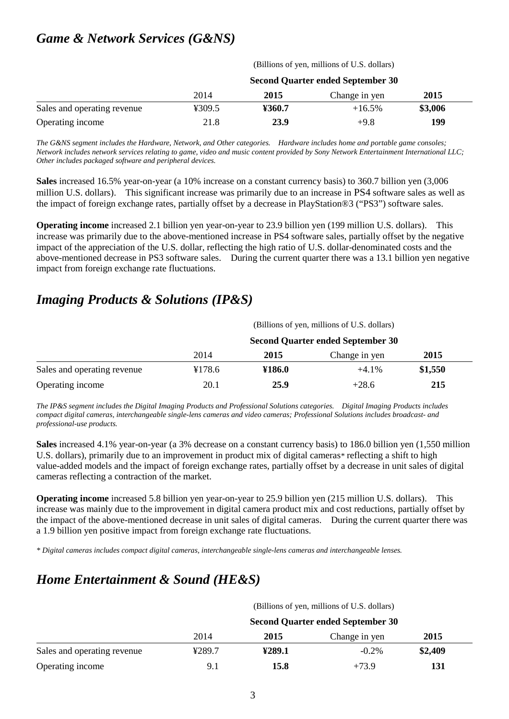# *Game & Network Services (G&NS)*

(Billions of yen, millions of U.S. dollars)

|                             | <b>Second Quarter ended September 30</b> |        |               |         |
|-----------------------------|------------------------------------------|--------|---------------|---------|
|                             | 2014                                     | 2015   | Change in yen | 2015    |
| Sales and operating revenue | ¥309.5                                   | ¥360.7 | $+16.5%$      | \$3,006 |
| Operating income            | 21.8                                     | 23.9   | $+9.8$        | 199     |

*The G&NS segment includes the Hardware, Network, and Other categories. Hardware includes home and portable game consoles; Network includes network services relating to game, video and music content provided by Sony Network Entertainment International LLC; Other includes packaged software and peripheral devices.*

**Sales** increased 16.5% year-on-year (a 10% increase on a constant currency basis) to 360.7 billion yen (3,006 million U.S. dollars). This significant increase was primarily due to an increase in PS4 software sales as well as the impact of foreign exchange rates, partially offset by a decrease in PlayStation®3 ("PS3") software sales.

**Operating income** increased 2.1 billion yen year-on-year to 23.9 billion yen (199 million U.S. dollars). This increase was primarily due to the above-mentioned increase in PS4 software sales, partially offset by the negative impact of the appreciation of the U.S. dollar, reflecting the high ratio of U.S. dollar-denominated costs and the above-mentioned decrease in PS3 software sales. During the current quarter there was a 13.1 billion yen negative impact from foreign exchange rate fluctuations.

# *Imaging Products & Solutions (IP&S)*

|                             | (Billions of yen, millions of U.S. dollars)<br><b>Second Quarter ended September 30</b> |        |               |         |  |  |
|-----------------------------|-----------------------------------------------------------------------------------------|--------|---------------|---------|--|--|
|                             |                                                                                         |        |               |         |  |  |
|                             | 2014                                                                                    | 2015   | Change in yen | 2015    |  |  |
| Sales and operating revenue | ¥178.6                                                                                  | ¥186.0 | $+4.1\%$      | \$1,550 |  |  |
| Operating income            | 20.1                                                                                    | 25.9   | $+28.6$       | 215     |  |  |

*The IP&S segment includes the Digital Imaging Products and Professional Solutions categories. Digital Imaging Products includes compact digital cameras, interchangeable single-lens cameras and video cameras; Professional Solutions includes broadcast- and professional-use products.* 

**Sales** increased 4.1% year-on-year (a 3% decrease on a constant currency basis) to 186.0 billion yen (1,550 million U.S. dollars), primarily due to an improvement in product mix of digital cameras*\** reflecting a shift to high value-added models and the impact of foreign exchange rates, partially offset by a decrease in unit sales of digital cameras reflecting a contraction of the market.

**Operating income** increased 5.8 billion yen year-on-year to 25.9 billion yen (215 million U.S. dollars). This increase was mainly due to the improvement in digital camera product mix and cost reductions, partially offset by the impact of the above-mentioned decrease in unit sales of digital cameras. During the current quarter there was a 1.9 billion yen positive impact from foreign exchange rate fluctuations.

*\* Digital cameras includes compact digital cameras, interchangeable single-lens cameras and interchangeable lenses.*

# *Home Entertainment & Sound (HE&S)*

|                             |                                          |        | (Billions of yen, millions of U.S. dollars) |         |  |  |
|-----------------------------|------------------------------------------|--------|---------------------------------------------|---------|--|--|
|                             | <b>Second Quarter ended September 30</b> |        |                                             |         |  |  |
|                             | 2014                                     | 2015   | Change in yen                               | 2015    |  |  |
| Sales and operating revenue | ¥289.7                                   | ¥289.1 | $-0.2\%$                                    | \$2,409 |  |  |
| Operating income            | 9.1                                      | 15.8   | $+73.9$                                     | 131     |  |  |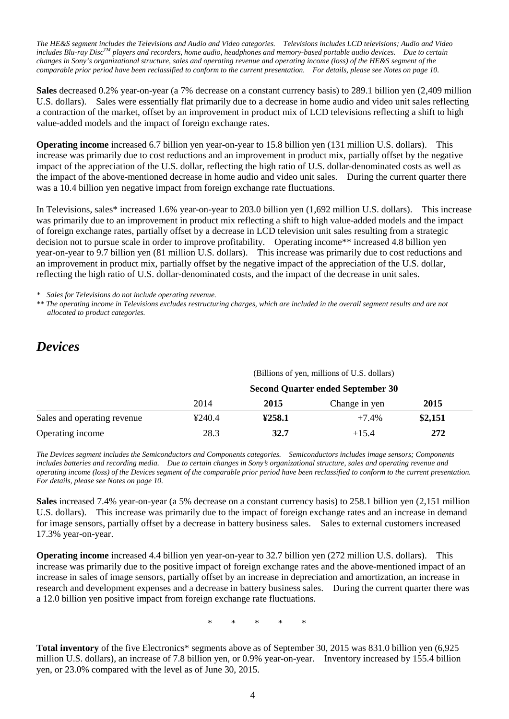*The HE&S segment includes the Televisions and Audio and Video categories. Televisions includes LCD televisions; Audio and Video includes Blu-ray DiscTM players and recorders, home audio, headphones and memory-based portable audio devices. Due to certain changes in Sony's organizational structure, sales and operating revenue and operating income (loss) of the HE&S segment of the comparable prior period have been reclassified to conform to the current presentation. For details, please see Notes on page 10.*

**Sales** decreased 0.2% year-on-year (a 7% decrease on a constant currency basis) to 289.1 billion yen (2,409 million U.S. dollars). Sales were essentially flat primarily due to a decrease in home audio and video unit sales reflecting a contraction of the market, offset by an improvement in product mix of LCD televisions reflecting a shift to high value-added models and the impact of foreign exchange rates.

**Operating income** increased 6.7 billion yen year-on-year to 15.8 billion yen (131 million U.S. dollars). This increase was primarily due to cost reductions and an improvement in product mix, partially offset by the negative impact of the appreciation of the U.S. dollar, reflecting the high ratio of U.S. dollar-denominated costs as well as the impact of the above-mentioned decrease in home audio and video unit sales. During the current quarter there was a 10.4 billion yen negative impact from foreign exchange rate fluctuations.

In Televisions, sales\* increased 1.6% year-on-year to 203.0 billion yen (1,692 million U.S. dollars). This increase was primarily due to an improvement in product mix reflecting a shift to high value-added models and the impact of foreign exchange rates, partially offset by a decrease in LCD television unit sales resulting from a strategic decision not to pursue scale in order to improve profitability. Operating income\*\* increased 4.8 billion yen year-on-year to 9.7 billion yen (81 million U.S. dollars). This increase was primarily due to cost reductions and an improvement in product mix, partially offset by the negative impact of the appreciation of the U.S. dollar, reflecting the high ratio of U.S. dollar-denominated costs, and the impact of the decrease in unit sales.

*\* Sales for Televisions do not include operating revenue.*

*\*\* The operating income in Televisions excludes restructuring charges, which are included in the overall segment results and are not allocated to product categories.*

# *Devices*

(Billions of yen, millions of U.S. dollars)

|                             | <b>Second Quarter ended September 30</b> |        |               |             |  |
|-----------------------------|------------------------------------------|--------|---------------|-------------|--|
|                             | 2014                                     | 2015   | Change in yen | <b>2015</b> |  |
| Sales and operating revenue | 4240.4                                   | 4258.1 | $+7.4%$       | \$2,151     |  |
| Operating income            | 28.3                                     | 32.7   | $+15.4$       | 272         |  |

*The Devices segment includes the Semiconductors and Components categories. Semiconductors includes image sensors; Components includes batteries and recording media. Due to certain changes in Sony's organizational structure, sales and operating revenue and operating income (loss) of the Devices segment of the comparable prior period have been reclassified to conform to the current presentation. For details, please see Notes on page 10.*

**Sales** increased 7.4% year-on-year (a 5% decrease on a constant currency basis) to 258.1 billion yen (2,151 million U.S. dollars). This increase was primarily due to the impact of foreign exchange rates and an increase in demand for image sensors, partially offset by a decrease in battery business sales. Sales to external customers increased 17.3% year-on-year.

**Operating income** increased 4.4 billion yen year-on-year to 32.7 billion yen (272 million U.S. dollars). This increase was primarily due to the positive impact of foreign exchange rates and the above-mentioned impact of an increase in sales of image sensors, partially offset by an increase in depreciation and amortization, an increase in research and development expenses and a decrease in battery business sales. During the current quarter there was a 12.0 billion yen positive impact from foreign exchange rate fluctuations.

\* \* \* \* \*

**Total inventory** of the five Electronics\* segments above as of September 30, 2015 was 831.0 billion yen (6,925 million U.S. dollars), an increase of 7.8 billion yen, or 0.9% year-on-year. Inventory increased by 155.4 billion yen, or 23.0% compared with the level as of June 30, 2015.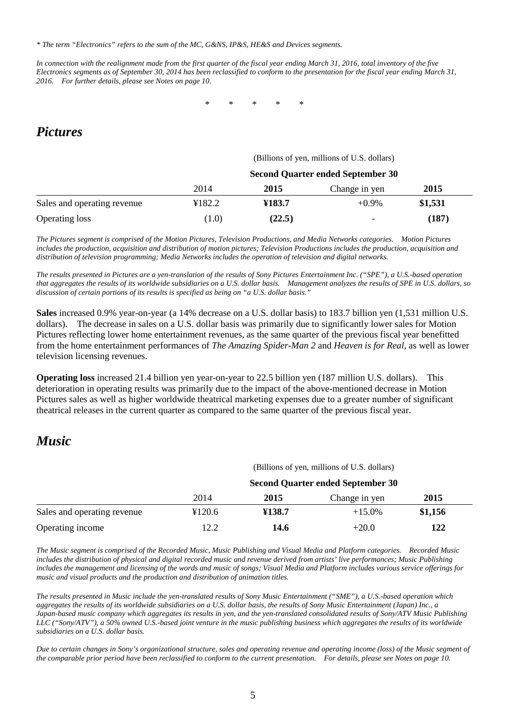*\* The term "Electronics" refers to the sum of the MC, G&NS, IP&S, HE&S and Devices segments.*

*In connection with the realignment made from the first quarter of the fiscal year ending March 31, 2016, total inventory of the five Electronics segments as of September 30, 2014 has been reclassified to conform to the presentation for the fiscal year ending March 31, 2016. For further details, please see Notes on page 10.*

\* \* \* \* \*

# *Pictures*

### (Billions of yen, millions of U.S. dollars)

|                             | <b>Second Quarter ended September 30</b> |        |                          |         |
|-----------------------------|------------------------------------------|--------|--------------------------|---------|
|                             | 2014                                     | 2015   | Change in yen            | 2015    |
| Sales and operating revenue | ¥182.2                                   | ¥183.7 | $+0.9\%$                 | \$1,531 |
| <b>Operating loss</b>       | (1.0)                                    | (22.5) | $\overline{\phantom{0}}$ | (187)   |

*The Pictures segment is comprised of the Motion Pictures, Television Productions, and Media Networks categories. Motion Pictures includes the production, acquisition and distribution of motion pictures; Television Productions includes the production, acquisition and distribution of television programming; Media Networks includes the operation of television and digital networks.*

*The results presented in Pictures are a yen-translation of the results of Sony Pictures Entertainment Inc. ("SPE"), a U.S.-based operation that aggregates the results of its worldwide subsidiaries on a U.S. dollar basis. Management analyzes the results of SPE in U.S. dollars, so discussion of certain portions of its results is specified as being on "a U.S. dollar basis."*

**Sales** increased 0.9% year-on-year (a 14% decrease on a U.S. dollar basis) to 183.7 billion yen (1,531 million U.S. dollars). The decrease in sales on a U.S. dollar basis was primarily due to significantly lower sales for Motion Pictures reflecting lower home entertainment revenues, as the same quarter of the previous fiscal year benefitted from the home entertainment performances of *The Amazing Spider-Man 2* and *Heaven is for Real*, as well as lower television licensing revenues.

**Operating loss** increased 21.4 billion yen year-on-year to 22.5 billion yen (187 million U.S. dollars). This deterioration in operating results was primarily due to the impact of the above-mentioned decrease in Motion Pictures sales as well as higher worldwide theatrical marketing expenses due to a greater number of significant theatrical releases in the current quarter as compared to the same quarter of the previous fiscal year.

# *Music*

|                             |                                          |        | (Billions of yen, millions of U.S. dollars) |         |  |  |
|-----------------------------|------------------------------------------|--------|---------------------------------------------|---------|--|--|
|                             | <b>Second Quarter ended September 30</b> |        |                                             |         |  |  |
|                             | 2014                                     | 2015   | Change in yen                               | 2015    |  |  |
| Sales and operating revenue | ¥120.6                                   | ¥138.7 | $+15.0\%$                                   | \$1,156 |  |  |
| Operating income            | 12.2                                     | 14.6   | $+20.0$                                     | 122     |  |  |

*The Music segment is comprised of the Recorded Music, Music Publishing and Visual Media and Platform categories. Recorded Music includes the distribution of physical and digital recorded music and revenue derived from artists' live performances; Music Publishing includes the management and licensing of the words and music of songs; Visual Media and Platform includes various service offerings for music and visual products and the production and distribution of animation titles.*

*The results presented in Music include the yen-translated results of Sony Music Entertainment ("SME"), a U.S.-based operation which aggregates the results of its worldwide subsidiaries on a U.S. dollar basis, the results of Sony Music Entertainment (Japan) Inc., a Japan-based music company which aggregates its results in yen, and the yen-translated consolidated results of Sony/ATV Music Publishing LLC ("Sony/ATV"), a 50% owned U.S.-based joint venture in the music publishing business which aggregates the results of its worldwide subsidiaries on a U.S. dollar basis.*

*Due to certain changes in Sony's organizational structure, sales and operating revenue and operating income (loss) of the Music segment of the comparable prior period have been reclassified to conform to the current presentation. For details, please see Notes on page 10.*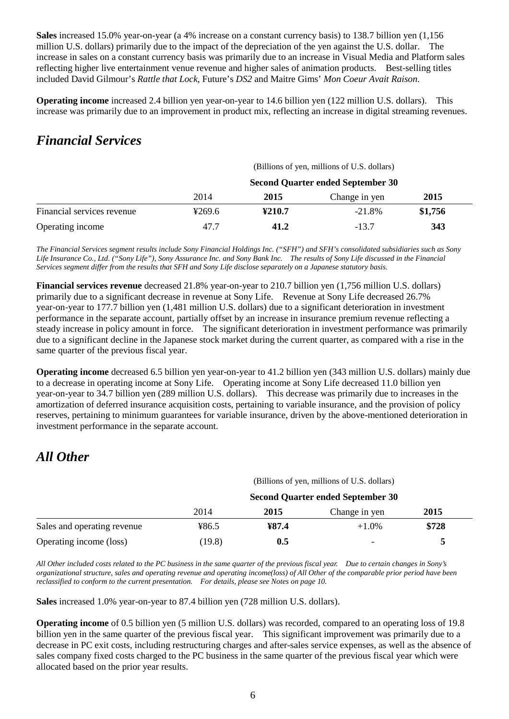**Sales** increased 15.0% year-on-year (a 4% increase on a constant currency basis) to 138.7 billion yen (1,156 million U.S. dollars) primarily due to the impact of the depreciation of the yen against the U.S. dollar. The increase in sales on a constant currency basis was primarily due to an increase in Visual Media and Platform sales reflecting higher live entertainment venue revenue and higher sales of animation products. Best-selling titles included David Gilmour's *Rattle that Lock*, Future's *DS2* and Maitre Gims' *Mon Coeur Avait Raison*.

**Operating income** increased 2.4 billion yen year-on-year to 14.6 billion yen (122 million U.S. dollars). This increase was primarily due to an improvement in product mix, reflecting an increase in digital streaming revenues.

# *Financial Services*

|                            | (Billions of yen, millions of U.S. dollars)<br><b>Second Quarter ended September 30</b> |        |               |         |  |
|----------------------------|-----------------------------------------------------------------------------------------|--------|---------------|---------|--|
|                            |                                                                                         |        |               |         |  |
|                            | 2014                                                                                    | 2015   | Change in yen | 2015    |  |
| Financial services revenue | 4269.6                                                                                  | ¥210.7 | $-21.8\%$     | \$1,756 |  |
| Operating income           | 47.7                                                                                    | 41.2   | $-13.7$       | 343     |  |

*The Financial Services segment results include Sony Financial Holdings Inc. ("SFH") and SFH's consolidated subsidiaries such as Sony Life Insurance Co., Ltd. ("Sony Life"), Sony Assurance Inc. and Sony Bank Inc. The results of Sony Life discussed in the Financial Services segment differ from the results that SFH and Sony Life disclose separately on a Japanese statutory basis.*

**Financial services revenue** decreased 21.8% year-on-year to 210.7 billion yen (1,756 million U.S. dollars) primarily due to a significant decrease in revenue at Sony Life. Revenue at Sony Life decreased 26.7% year-on-year to 177.7 billion yen (1,481 million U.S. dollars) due to a significant deterioration in investment performance in the separate account, partially offset by an increase in insurance premium revenue reflecting a steady increase in policy amount in force. The significant deterioration in investment performance was primarily due to a significant decline in the Japanese stock market during the current quarter, as compared with a rise in the same quarter of the previous fiscal year.

**Operating income** decreased 6.5 billion yen year-on-year to 41.2 billion yen (343 million U.S. dollars) mainly due to a decrease in operating income at Sony Life. Operating income at Sony Life decreased 11.0 billion yen year-on-year to 34.7 billion yen (289 million U.S. dollars). This decrease was primarily due to increases in the amortization of deferred insurance acquisition costs, pertaining to variable insurance, and the provision of policy reserves, pertaining to minimum guarantees for variable insurance, driven by the above-mentioned deterioration in investment performance in the separate account.

# *All Other*

|                             |                                          |       | (Billions of yen, millions of U.S. dollars) |       |  |
|-----------------------------|------------------------------------------|-------|---------------------------------------------|-------|--|
|                             | <b>Second Quarter ended September 30</b> |       |                                             |       |  |
|                             | 2014                                     | 2015  | Change in yen                               | 2015  |  |
| Sales and operating revenue | ¥86.5                                    | ¥87.4 | $+1.0%$                                     | \$728 |  |
| Operating income (loss)     | (19.8)                                   | 0.5   | $\overline{\phantom{0}}$                    |       |  |

*All Other included costs related to the PC business in the same quarter of the previous fiscal year. Due to certain changes in Sony's organizational structure, sales and operating revenue and operating income(loss) of All Other of the comparable prior period have been reclassified to conform to the current presentation. For details, please see Notes on page 10.*

**Sales** increased 1.0% year-on-year to 87.4 billion yen (728 million U.S. dollars).

**Operating income** of 0.5 billion yen (5 million U.S. dollars) was recorded, compared to an operating loss of 19.8 billion yen in the same quarter of the previous fiscal year. This significant improvement was primarily due to a decrease in PC exit costs, including restructuring charges and after-sales service expenses, as well as the absence of sales company fixed costs charged to the PC business in the same quarter of the previous fiscal year which were allocated based on the prior year results.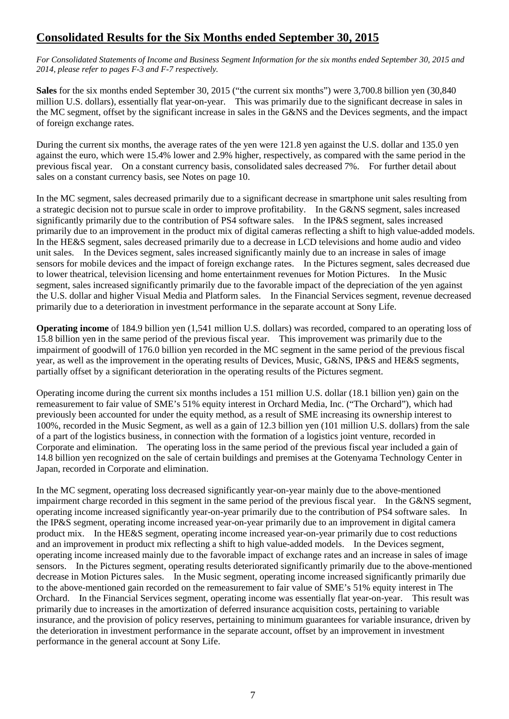# **Consolidated Results for the Six Months ended September 30, 2015**

*For Consolidated Statements of Income and Business Segment Information for the six months ended September 30, 2015 and 2014, please refer to pages F-3 and F-7 respectively.*

**Sales** for the six months ended September 30, 2015 ("the current six months") were 3,700.8 billion yen (30,840 million U.S. dollars), essentially flat year-on-year. This was primarily due to the significant decrease in sales in the MC segment, offset by the significant increase in sales in the G&NS and the Devices segments, and the impact of foreign exchange rates.

During the current six months, the average rates of the yen were 121.8 yen against the U.S. dollar and 135.0 yen against the euro, which were 15.4% lower and 2.9% higher, respectively, as compared with the same period in the previous fiscal year. On a constant currency basis, consolidated sales decreased 7%. For further detail about sales on a constant currency basis, see Notes on page 10.

In the MC segment, sales decreased primarily due to a significant decrease in smartphone unit sales resulting from a strategic decision not to pursue scale in order to improve profitability. In the G&NS segment, sales increased significantly primarily due to the contribution of PS4 software sales. In the IP&S segment, sales increased primarily due to an improvement in the product mix of digital cameras reflecting a shift to high value-added models. In the HE&S segment, sales decreased primarily due to a decrease in LCD televisions and home audio and video unit sales. In the Devices segment, sales increased significantly mainly due to an increase in sales of image sensors for mobile devices and the impact of foreign exchange rates. In the Pictures segment, sales decreased due to lower theatrical, television licensing and home entertainment revenues for Motion Pictures. In the Music segment, sales increased significantly primarily due to the favorable impact of the depreciation of the yen against the U.S. dollar and higher Visual Media and Platform sales. In the Financial Services segment, revenue decreased primarily due to a deterioration in investment performance in the separate account at Sony Life.

**Operating income** of 184.9 billion yen (1,541 million U.S. dollars) was recorded, compared to an operating loss of 15.8 billion yen in the same period of the previous fiscal year. This improvement was primarily due to the impairment of goodwill of 176.0 billion yen recorded in the MC segment in the same period of the previous fiscal year, as well as the improvement in the operating results of Devices, Music, G&NS, IP&S and HE&S segments, partially offset by a significant deterioration in the operating results of the Pictures segment.

Operating income during the current six months includes a 151 million U.S. dollar (18.1 billion yen) gain on the remeasurement to fair value of SME's 51% equity interest in Orchard Media, Inc. ("The Orchard"), which had previously been accounted for under the equity method, as a result of SME increasing its ownership interest to 100%, recorded in the Music Segment, as well as a gain of 12.3 billion yen (101 million U.S. dollars) from the sale of a part of the logistics business, in connection with the formation of a logistics joint venture, recorded in Corporate and elimination. The operating loss in the same period of the previous fiscal year included a gain of 14.8 billion yen recognized on the sale of certain buildings and premises at the Gotenyama Technology Center in Japan, recorded in Corporate and elimination.

In the MC segment, operating loss decreased significantly year-on-year mainly due to the above-mentioned impairment charge recorded in this segment in the same period of the previous fiscal year. In the G&NS segment, operating income increased significantly year-on-year primarily due to the contribution of PS4 software sales. In the IP&S segment, operating income increased year-on-year primarily due to an improvement in digital camera product mix. In the HE&S segment, operating income increased year-on-year primarily due to cost reductions and an improvement in product mix reflecting a shift to high value-added models. In the Devices segment, operating income increased mainly due to the favorable impact of exchange rates and an increase in sales of image sensors. In the Pictures segment, operating results deteriorated significantly primarily due to the above-mentioned decrease in Motion Pictures sales. In the Music segment, operating income increased significantly primarily due to the above-mentioned gain recorded on the remeasurement to fair value of SME's 51% equity interest in The Orchard. In the Financial Services segment, operating income was essentially flat year-on-year. This result was primarily due to increases in the amortization of deferred insurance acquisition costs, pertaining to variable insurance, and the provision of policy reserves, pertaining to minimum guarantees for variable insurance, driven by the deterioration in investment performance in the separate account, offset by an improvement in investment performance in the general account at Sony Life.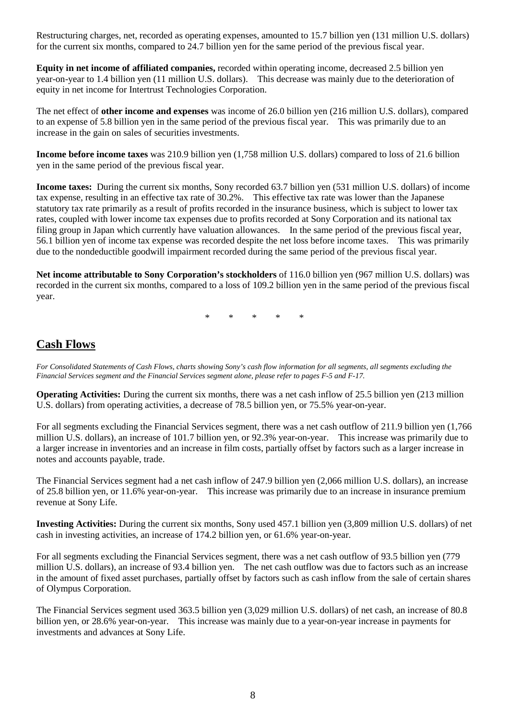Restructuring charges, net, recorded as operating expenses, amounted to 15.7 billion yen (131 million U.S. dollars) for the current six months, compared to 24.7 billion yen for the same period of the previous fiscal year.

**Equity in net income of affiliated companies,** recorded within operating income, decreased 2.5 billion yen year-on-year to 1.4 billion yen (11 million U.S. dollars). This decrease was mainly due to the deterioration of equity in net income for Intertrust Technologies Corporation.

The net effect of **other income and expenses** was income of 26.0 billion yen (216 million U.S. dollars), compared to an expense of 5.8 billion yen in the same period of the previous fiscal year. This was primarily due to an increase in the gain on sales of securities investments.

**Income before income taxes** was 210.9 billion yen (1,758 million U.S. dollars) compared to loss of 21.6 billion yen in the same period of the previous fiscal year.

**Income taxes:** During the current six months, Sony recorded 63.7 billion yen (531 million U.S. dollars) of income tax expense, resulting in an effective tax rate of 30.2%. This effective tax rate was lower than the Japanese statutory tax rate primarily as a result of profits recorded in the insurance business, which is subject to lower tax rates, coupled with lower income tax expenses due to profits recorded at Sony Corporation and its national tax filing group in Japan which currently have valuation allowances. In the same period of the previous fiscal year, 56.1 billion yen of income tax expense was recorded despite the net loss before income taxes. This was primarily due to the nondeductible goodwill impairment recorded during the same period of the previous fiscal year.

**Net income attributable to Sony Corporation's stockholders** of 116.0 billion yen (967 million U.S. dollars) was recorded in the current six months, compared to a loss of 109.2 billion yen in the same period of the previous fiscal year.

 $*$  \* \*

# **Cash Flows**

*For Consolidated Statements of Cash Flows, charts showing Sony's cash flow information for all segments, all segments excluding the Financial Services segment and the Financial Services segment alone, please refer to pages F-5 and F-17.*

**Operating Activities:** During the current six months, there was a net cash inflow of 25.5 billion yen (213 million U.S. dollars) from operating activities, a decrease of 78.5 billion yen, or 75.5% year-on-year.

For all segments excluding the Financial Services segment, there was a net cash outflow of 211.9 billion yen (1,766 million U.S. dollars), an increase of 101.7 billion yen, or 92.3% year-on-year. This increase was primarily due to a larger increase in inventories and an increase in film costs, partially offset by factors such as a larger increase in notes and accounts payable, trade.

The Financial Services segment had a net cash inflow of 247.9 billion yen (2,066 million U.S. dollars), an increase of 25.8 billion yen, or 11.6% year-on-year. This increase was primarily due to an increase in insurance premium revenue at Sony Life.

**Investing Activities:** During the current six months, Sony used 457.1 billion yen (3,809 million U.S. dollars) of net cash in investing activities, an increase of 174.2 billion yen, or 61.6% year-on-year.

For all segments excluding the Financial Services segment, there was a net cash outflow of 93.5 billion yen (779 million U.S. dollars), an increase of 93.4 billion yen. The net cash outflow was due to factors such as an increase in the amount of fixed asset purchases, partially offset by factors such as cash inflow from the sale of certain shares of Olympus Corporation.

The Financial Services segment used 363.5 billion yen (3,029 million U.S. dollars) of net cash, an increase of 80.8 billion yen, or 28.6% year-on-year. This increase was mainly due to a year-on-year increase in payments for investments and advances at Sony Life.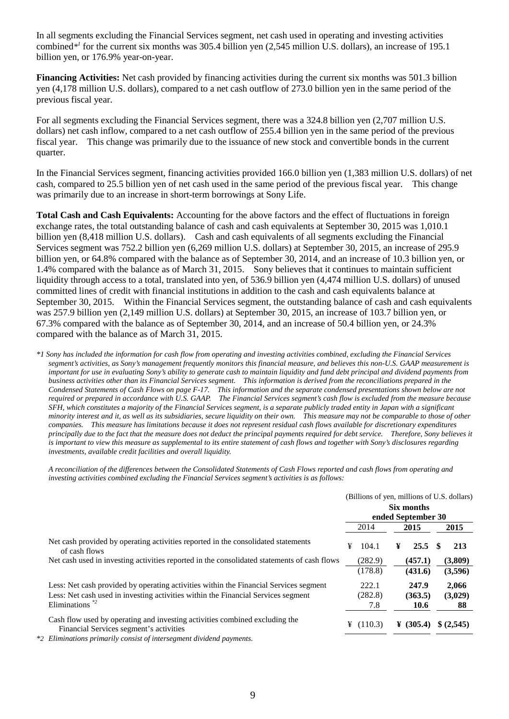In all segments excluding the Financial Services segment, net cash used in operating and investing activities combined*\*1* for the current six months was 305.4 billion yen (2,545 million U.S. dollars), an increase of 195.1 billion yen, or 176.9% year-on-year.

**Financing Activities:** Net cash provided by financing activities during the current six months was 501.3 billion yen (4,178 million U.S. dollars), compared to a net cash outflow of 273.0 billion yen in the same period of the previous fiscal year.

For all segments excluding the Financial Services segment, there was a 324.8 billion yen (2,707 million U.S. dollars) net cash inflow, compared to a net cash outflow of 255.4 billion yen in the same period of the previous fiscal year. This change was primarily due to the issuance of new stock and convertible bonds in the current quarter.

In the Financial Services segment, financing activities provided 166.0 billion yen (1,383 million U.S. dollars) of net cash, compared to 25.5 billion yen of net cash used in the same period of the previous fiscal year. This change was primarily due to an increase in short-term borrowings at Sony Life.

**Total Cash and Cash Equivalents:** Accounting for the above factors and the effect of fluctuations in foreign exchange rates, the total outstanding balance of cash and cash equivalents at September 30, 2015 was 1,010.1 billion yen (8,418 million U.S. dollars). Cash and cash equivalents of all segments excluding the Financial Services segment was 752.2 billion yen (6,269 million U.S. dollars) at September 30, 2015, an increase of 295.9 billion yen, or 64.8% compared with the balance as of September 30, 2014, and an increase of 10.3 billion yen, or 1.4% compared with the balance as of March 31, 2015. Sony believes that it continues to maintain sufficient liquidity through access to a total, translated into yen, of 536.9 billion yen (4,474 million U.S. dollars) of unused committed lines of credit with financial institutions in addition to the cash and cash equivalents balance at September 30, 2015. Within the Financial Services segment, the outstanding balance of cash and cash equivalents was 257.9 billion yen (2,149 million U.S. dollars) at September 30, 2015, an increase of 103.7 billion yen, or 67.3% compared with the balance as of September 30, 2014, and an increase of 50.4 billion yen, or 24.3% compared with the balance as of March 31, 2015.

*\*1 Sony has included the information for cash flow from operating and investing activities combined, excluding the Financial Services segment's activities, as Sony's management frequently monitors this financial measure, and believes this non-U.S. GAAP measurement is important for use in evaluating Sony's ability to generate cash to maintain liquidity and fund debt principal and dividend payments from business activities other than its Financial Services segment. This information is derived from the reconciliations prepared in the Condensed Statements of Cash Flows on page F-17. This information and the separate condensed presentations shown below are not required or prepared in accordance with U.S. GAAP. The Financial Services segment's cash flow is excluded from the measure because SFH, which constitutes a majority of the Financial Services segment, is a separate publicly traded entity in Japan with a significant minority interest and it, as well as its subsidiaries, secure liquidity on their own. This measure may not be comparable to those of other companies. This measure has limitations because it does not represent residual cash flows available for discretionary expenditures principally due to the fact that the measure does not deduct the principal payments required for debt service. Therefore, Sony believes it is important to view this measure as supplemental to its entire statement of cash flows and together with Sony's disclosures regarding investments, available credit facilities and overall liquidity.*

*A reconciliation of the differences between the Consolidated Statements of Cash Flows reported and cash flows from operating and investing activities combined excluding the Financial Services segment's activities is as follows:*

|                                                                                                                                                                                                             |      | (Billions of yen, millions of U.S. dollars) |      |                          |     |                        |
|-------------------------------------------------------------------------------------------------------------------------------------------------------------------------------------------------------------|------|---------------------------------------------|------|--------------------------|-----|------------------------|
|                                                                                                                                                                                                             |      | Six months<br>ended September 30            |      |                          |     |                        |
|                                                                                                                                                                                                             | 2014 |                                             | 2015 |                          |     | 2015                   |
| Net cash provided by operating activities reported in the consolidated statements<br>of cash flows                                                                                                          | ¥    | 104.1                                       | ¥    | 25.5                     | -SS | 213                    |
| Net cash used in investing activities reported in the consolidated statements of cash flows                                                                                                                 |      | (282.9)<br>(178.8)                          |      | (457.1)<br>(431.6)       |     | (3,809)<br>(3,596)     |
| Less: Net cash provided by operating activities within the Financial Services segment<br>Less: Net cash used in investing activities within the Financial Services segment<br>Eliminations $*$ <sup>2</sup> |      | 222.1<br>(282.8)<br>7.8                     |      | 247.9<br>(363.5)<br>10.6 |     | 2.066<br>(3,029)<br>88 |
| Cash flow used by operating and investing activities combined excluding the<br>Financial Services segment's activities<br>Eliminations primarily consist of intersecutors dividend payments                 | ¥    | (110.3)                                     |      | ¥ $(305.4)$              |     | \$(2,545)              |

*\*2 Eliminations primarily consist of intersegment dividend payments.*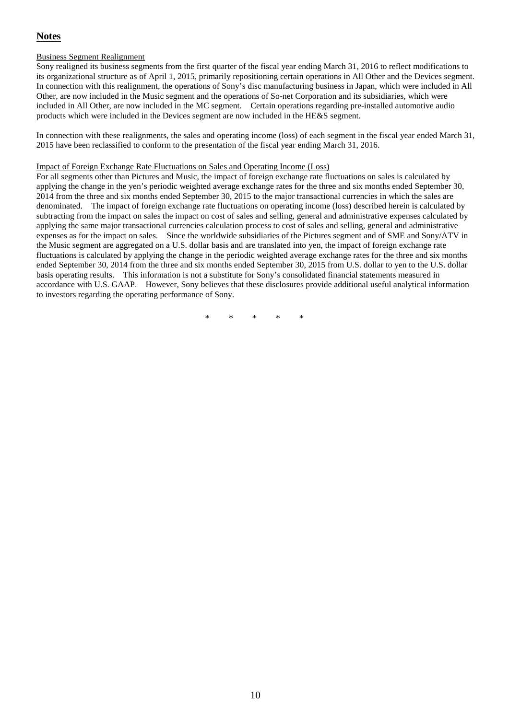# **Notes**

### Business Segment Realignment

Sony realigned its business segments from the first quarter of the fiscal year ending March 31, 2016 to reflect modifications to its organizational structure as of April 1, 2015, primarily repositioning certain operations in All Other and the Devices segment. In connection with this realignment, the operations of Sony's disc manufacturing business in Japan, which were included in All Other, are now included in the Music segment and the operations of So-net Corporation and its subsidiaries, which were included in All Other, are now included in the MC segment. Certain operations regarding pre-installed automotive audio products which were included in the Devices segment are now included in the HE&S segment.

In connection with these realignments, the sales and operating income (loss) of each segment in the fiscal year ended March 31, 2015 have been reclassified to conform to the presentation of the fiscal year ending March 31, 2016.

#### Impact of Foreign Exchange Rate Fluctuations on Sales and Operating Income (Loss)

For all segments other than Pictures and Music, the impact of foreign exchange rate fluctuations on sales is calculated by applying the change in the yen's periodic weighted average exchange rates for the three and six months ended September 30, 2014 from the three and six months ended September 30, 2015 to the major transactional currencies in which the sales are denominated. The impact of foreign exchange rate fluctuations on operating income (loss) described herein is calculated by subtracting from the impact on sales the impact on cost of sales and selling, general and administrative expenses calculated by applying the same major transactional currencies calculation process to cost of sales and selling, general and administrative expenses as for the impact on sales. Since the worldwide subsidiaries of the Pictures segment and of SME and Sony/ATV in the Music segment are aggregated on a U.S. dollar basis and are translated into yen, the impact of foreign exchange rate fluctuations is calculated by applying the change in the periodic weighted average exchange rates for the three and six months ended September 30, 2014 from the three and six months ended September 30, 2015 from U.S. dollar to yen to the U.S. dollar basis operating results. This information is not a substitute for Sony's consolidated financial statements measured in accordance with U.S. GAAP. However, Sony believes that these disclosures provide additional useful analytical information to investors regarding the operating performance of Sony.

\* \* \* \* \*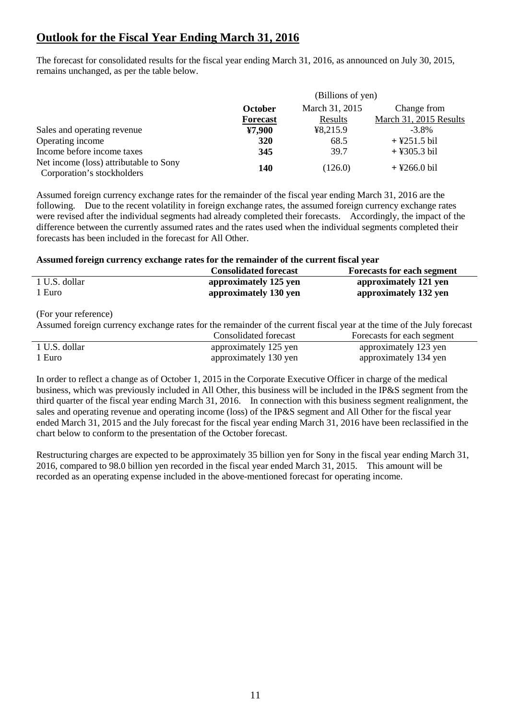# **Outlook for the Fiscal Year Ending March 31, 2016**

The forecast for consolidated results for the fiscal year ending March 31, 2016, as announced on July 30, 2015, remains unchanged, as per the table below.

|                                                                      | (Billions of yen) |             |                        |  |  |
|----------------------------------------------------------------------|-------------------|-------------|------------------------|--|--|
|                                                                      | October           | Change from |                        |  |  |
|                                                                      | <b>Forecast</b>   | Results     | March 31, 2015 Results |  |  |
| Sales and operating revenue                                          | ¥7,900            | 48,215.9    | $-3.8\%$               |  |  |
| Operating income                                                     | 320               | 68.5        | $+$ ¥251.5 bil         |  |  |
| Income before income taxes                                           | 345               | 39.7        | $+$ ¥305.3 bil         |  |  |
| Net income (loss) attributable to Sony<br>Corporation's stockholders | 140               | (126.0)     | $+$ ¥266.0 bil         |  |  |

Assumed foreign currency exchange rates for the remainder of the fiscal year ending March 31, 2016 are the following. Due to the recent volatility in foreign exchange rates, the assumed foreign currency exchange rates were revised after the individual segments had already completed their forecasts. Accordingly, the impact of the difference between the currently assumed rates and the rates used when the individual segments completed their forecasts has been included in the forecast for All Other.

### **Assumed foreign currency exchange rates for the remainder of the current fiscal year**

|               | <b>Consolidated forecast</b> | <b>Forecasts for each segment</b> |
|---------------|------------------------------|-----------------------------------|
| 1 U.S. dollar | approximately 125 yen        | approximately 121 yen             |
| 1 Euro        | approximately 130 yen        | approximately 132 yen             |

(For your reference)

Assumed foreign currency exchange rates for the remainder of the current fiscal year at the time of the July forecast

|               | Consolidated forecast | Forecasts for each segment |
|---------------|-----------------------|----------------------------|
| 1 U.S. dollar | approximately 125 yen | approximately 123 yen      |
| 1 Euro        | approximately 130 yen | approximately 134 yen      |

In order to reflect a change as of October 1, 2015 in the Corporate Executive Officer in charge of the medical business, which was previously included in All Other, this business will be included in the IP&S segment from the third quarter of the fiscal year ending March 31, 2016. In connection with this business segment realignment, the sales and operating revenue and operating income (loss) of the IP&S segment and All Other for the fiscal year ended March 31, 2015 and the July forecast for the fiscal year ending March 31, 2016 have been reclassified in the chart below to conform to the presentation of the October forecast.

Restructuring charges are expected to be approximately 35 billion yen for Sony in the fiscal year ending March 31, 2016, compared to 98.0 billion yen recorded in the fiscal year ended March 31, 2015. This amount will be recorded as an operating expense included in the above-mentioned forecast for operating income.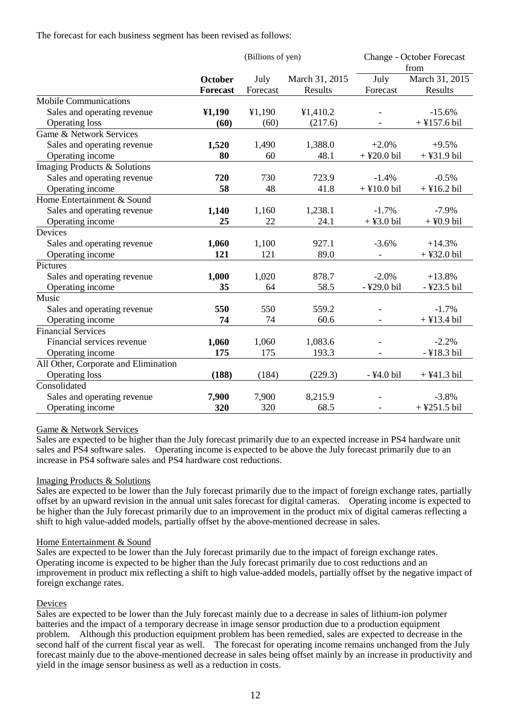The forecast for each business segment has been revised as follows:

|                                      |                 | (Billions of yen) |                |               | <b>Change - October Forecast</b><br>from |  |
|--------------------------------------|-----------------|-------------------|----------------|---------------|------------------------------------------|--|
|                                      | October         | July              | March 31, 2015 | July          | March 31, 2015                           |  |
|                                      | <b>Forecast</b> | Forecast          | Results        | Forecast      | Results                                  |  |
| <b>Mobile Communications</b>         |                 |                   |                |               |                                          |  |
| Sales and operating revenue          | 41,190          | ¥1,190            | ¥1,410.2       |               | $-15.6%$                                 |  |
| <b>Operating loss</b>                | (60)            | (60)              | (217.6)        |               | $+$ ¥157.6 bil                           |  |
| Game & Network Services              |                 |                   |                |               |                                          |  |
| Sales and operating revenue          | 1,520           | 1,490             | 1,388.0        | $+2.0%$       | $+9.5%$                                  |  |
| Operating income                     | 80              | 60                | 48.1           | $+$ ¥20.0 bil | $+$ ¥31.9 bil                            |  |
| Imaging Products & Solutions         |                 |                   |                |               |                                          |  |
| Sales and operating revenue          | 720             | 730               | 723.9          | $-1.4%$       | $-0.5%$                                  |  |
| Operating income                     | 58              | 48                | 41.8           | $+$ ¥10.0 bil | $+$ ¥16.2 bil                            |  |
| Home Entertainment & Sound           |                 |                   |                |               |                                          |  |
| Sales and operating revenue          | 1,140           | 1,160             | 1,238.1        | $-1.7%$       | $-7.9%$                                  |  |
| Operating income                     | 25              | 22                | 24.1           | $+$ ¥3.0 bil  | $+$ ¥0.9 bil                             |  |
| Devices                              |                 |                   |                |               |                                          |  |
| Sales and operating revenue          | 1,060           | 1,100             | 927.1          | $-3.6%$       | $+14.3%$                                 |  |
| Operating income                     | 121             | 121               | 89.0           |               | $+$ ¥32.0 bil                            |  |
| Pictures                             |                 |                   |                |               |                                          |  |
| Sales and operating revenue          | 1,000           | 1,020             | 878.7          | $-2.0%$       | $+13.8%$                                 |  |
| Operating income                     | 35              | 64                | 58.5           | -¥29.0 bil    | -¥23.5 bil                               |  |
| Music                                |                 |                   |                |               |                                          |  |
| Sales and operating revenue          | 550             | 550               | 559.2          |               | $-1.7%$                                  |  |
| Operating income                     | 74              | 74                | 60.6           |               | $+$ ¥13.4 bil                            |  |
| <b>Financial Services</b>            |                 |                   |                |               |                                          |  |
| Financial services revenue           | 1,060           | 1,060             | 1,083.6        |               | $-2.2%$                                  |  |
| Operating income                     | 175             | 175               | 193.3          |               | -¥18.3 bil                               |  |
| All Other, Corporate and Elimination |                 |                   |                |               |                                          |  |
| <b>Operating loss</b>                | (188)           | (184)             | (229.3)        | -¥4.0 bil     | $+$ ¥41.3 bil                            |  |
| Consolidated                         |                 |                   |                |               |                                          |  |
| Sales and operating revenue          | 7,900           | 7,900             | 8,215.9        |               | $-3.8%$                                  |  |
| Operating income                     | 320             | 320               | 68.5           |               | $+$ ¥251.5 bil                           |  |

### Game & Network Services

Sales are expected to be higher than the July forecast primarily due to an expected increase in PS4 hardware unit sales and PS4 software sales. Operating income is expected to be above the July forecast primarily due to an increase in PS4 software sales and PS4 hardware cost reductions.

### Imaging Products & Solutions

Sales are expected to be lower than the July forecast primarily due to the impact of foreign exchange rates, partially offset by an upward revision in the annual unit sales forecast for digital cameras. Operating income is expected to be higher than the July forecast primarily due to an improvement in the product mix of digital cameras reflecting a shift to high value-added models, partially offset by the above-mentioned decrease in sales.

### Home Entertainment & Sound

Sales are expected to be lower than the July forecast primarily due to the impact of foreign exchange rates. Operating income is expected to be higher than the July forecast primarily due to cost reductions and an improvement in product mix reflecting a shift to high value-added models, partially offset by the negative impact of foreign exchange rates.

### Devices

Sales are expected to be lower than the July forecast mainly due to a decrease in sales of lithium-ion polymer batteries and the impact of a temporary decrease in image sensor production due to a production equipment problem. Although this production equipment problem has been remedied, sales are expected to decrease in the second half of the current fiscal year as well. The forecast for operating income remains unchanged from the July forecast mainly due to the above-mentioned decrease in sales being offset mainly by an increase in productivity and yield in the image sensor business as well as a reduction in costs.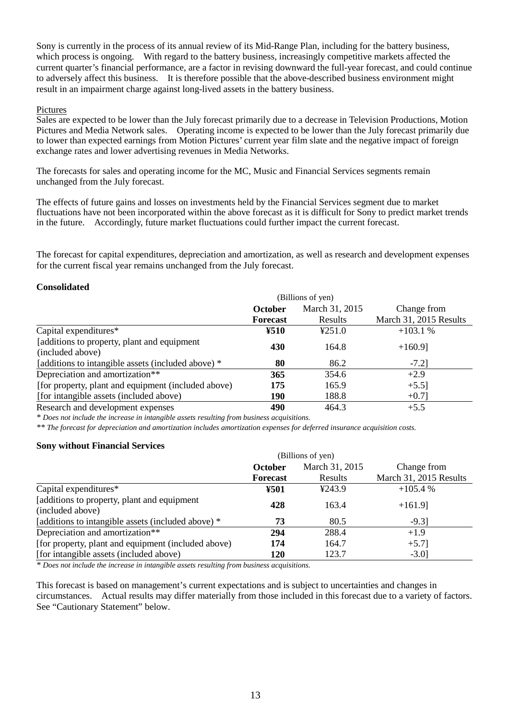Sony is currently in the process of its annual review of its Mid-Range Plan, including for the battery business, which process is ongoing. With regard to the battery business, increasingly competitive markets affected the current quarter's financial performance, are a factor in revising downward the full-year forecast, and could continue to adversely affect this business. It is therefore possible that the above-described business environment might result in an impairment charge against long-lived assets in the battery business.

### Pictures

Sales are expected to be lower than the July forecast primarily due to a decrease in Television Productions, Motion Pictures and Media Network sales. Operating income is expected to be lower than the July forecast primarily due to lower than expected earnings from Motion Pictures' current year film slate and the negative impact of foreign exchange rates and lower advertising revenues in Media Networks.

The forecasts for sales and operating income for the MC, Music and Financial Services segments remain unchanged from the July forecast.

The effects of future gains and losses on investments held by the Financial Services segment due to market fluctuations have not been incorporated within the above forecast as it is difficult for Sony to predict market trends in the future. Accordingly, future market fluctuations could further impact the current forecast.

The forecast for capital expenditures, depreciation and amortization, as well as research and development expenses for the current fiscal year remains unchanged from the July forecast.

# **Consolidated**

|                                                     | (Billions of yen) |                |                        |  |  |
|-----------------------------------------------------|-------------------|----------------|------------------------|--|--|
|                                                     | <b>October</b>    | March 31, 2015 | Change from            |  |  |
|                                                     | <b>Forecast</b>   | Results        | March 31, 2015 Results |  |  |
| Capital expenditures*                               | ¥510              | 4251.0         | $+103.1%$              |  |  |
| [additions to property, plant and equipment         | 430               | 164.8          | $+160.9$ ]             |  |  |
| (included above)                                    |                   |                |                        |  |  |
| [additions to intangible assets (included above) *  | 80                | 86.2           | $-7.2$ ]               |  |  |
| Depreciation and amortization**                     | 365               | 354.6          | $+2.9$                 |  |  |
| [for property, plant and equipment (included above) | 175               | 165.9          | $+5.5$ ]               |  |  |
| [for intangible assets (included above)             | 190               | 188.8          | $+0.7$ ]               |  |  |
| Research and development expenses                   | 490               | 464.3          | $+5.5$                 |  |  |

*\* Does not include the increase in intangible assets resulting from business acquisitions.*

*\*\* The forecast for depreciation and amortization includes amortization expenses for deferred insurance acquisition costs.*

### **Sony without Financial Services**

|                                                     | (Billions of yen) |                |                        |  |  |
|-----------------------------------------------------|-------------------|----------------|------------------------|--|--|
|                                                     | <b>October</b>    | March 31, 2015 | Change from            |  |  |
|                                                     | <b>Forecast</b>   | Results        | March 31, 2015 Results |  |  |
| Capital expenditures*                               | ¥501              | 4243.9         | $+105.4%$              |  |  |
| [additions to property, plant and equipment         | 428               | 163.4          | $+161.9$ ]             |  |  |
| (included above)                                    |                   |                |                        |  |  |
| [additions to intangible assets (included above) *  | 73                | 80.5           | $-9.3$ ]               |  |  |
| Depreciation and amortization**                     | 294               | 288.4          | $+1.9$                 |  |  |
| [for property, plant and equipment (included above) | 174               | 164.7          | $+5.7$ ]               |  |  |
| [for intangible assets (included above)             | 120               | 123.7          | $-3.0$ ]               |  |  |

*\* Does not include the increase in intangible assets resulting from business acquisitions.*

This forecast is based on management's current expectations and is subject to uncertainties and changes in circumstances. Actual results may differ materially from those included in this forecast due to a variety of factors. See "Cautionary Statement" below.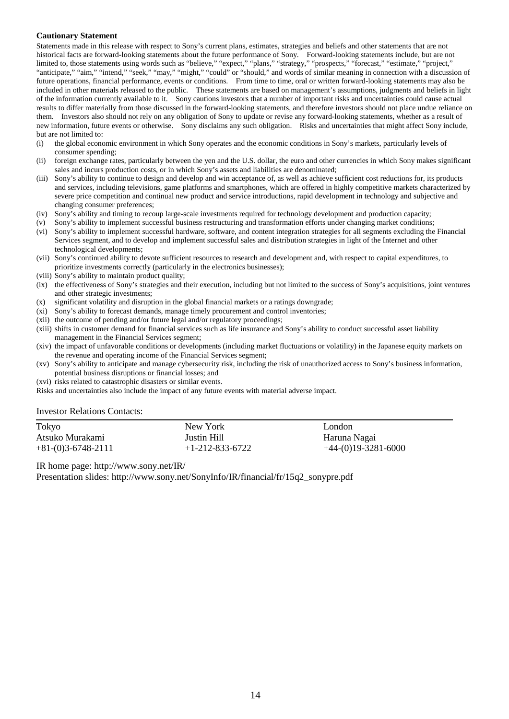#### **Cautionary Statement**

Statements made in this release with respect to Sony's current plans, estimates, strategies and beliefs and other statements that are not historical facts are forward-looking statements about the future performance of Sony. Forward-looking statements include, but are not limited to, those statements using words such as "believe," "expect," "plans," "strategy," "prospects," "forecast," "estimate," "project," "anticipate," "aim," "intend," "seek," "may," "might," "could" or "should," and words of similar meaning in connection with a discussion of future operations, financial performance, events or conditions. From time to time, oral or written forward-looking statements may also be included in other materials released to the public. These statements are based on management's assumptions, judgments and beliefs in light of the information currently available to it. Sony cautions investors that a number of important risks and uncertainties could cause actual results to differ materially from those discussed in the forward-looking statements, and therefore investors should not place undue reliance on them. Investors also should not rely on any obligation of Sony to update or revise any forward-looking statements, whether as a result of new information, future events or otherwise. Sony disclaims any such obligation. Risks and uncertainties that might affect Sony include, but are not limited to:

- (i) the global economic environment in which Sony operates and the economic conditions in Sony's markets, particularly levels of consumer spending;
- (ii) foreign exchange rates, particularly between the yen and the U.S. dollar, the euro and other currencies in which Sony makes significant sales and incurs production costs, or in which Sony's assets and liabilities are denominated;
- (iii) Sony's ability to continue to design and develop and win acceptance of, as well as achieve sufficient cost reductions for, its products and services, including televisions, game platforms and smartphones, which are offered in highly competitive markets characterized by severe price competition and continual new product and service introductions, rapid development in technology and subjective and changing consumer preferences;
- (iv) Sony's ability and timing to recoup large-scale investments required for technology development and production capacity;
- (v) Sony's ability to implement successful business restructuring and transformation efforts under changing market conditions;
- (vi) Sony's ability to implement successful hardware, software, and content integration strategies for all segments excluding the Financial Services segment, and to develop and implement successful sales and distribution strategies in light of the Internet and other technological developments;
- (vii) Sony's continued ability to devote sufficient resources to research and development and, with respect to capital expenditures, to prioritize investments correctly (particularly in the electronics businesses);
- (viii) Sony's ability to maintain product quality;
- (ix) the effectiveness of Sony's strategies and their execution, including but not limited to the success of Sony's acquisitions, joint ventures and other strategic investments;
- (x) significant volatility and disruption in the global financial markets or a ratings downgrade;
- (xi) Sony's ability to forecast demands, manage timely procurement and control inventories;
- (xii) the outcome of pending and/or future legal and/or regulatory proceedings;
- (xiii) shifts in customer demand for financial services such as life insurance and Sony's ability to conduct successful asset liability management in the Financial Services segment;
- (xiv) the impact of unfavorable conditions or developments (including market fluctuations or volatility) in the Japanese equity markets on the revenue and operating income of the Financial Services segment;
- (xv) Sony's ability to anticipate and manage cybersecurity risk, including the risk of unauthorized access to Sony's business information, potential business disruptions or financial losses; and
- (xvi) risks related to catastrophic disasters or similar events.

Risks and uncertainties also include the impact of any future events with material adverse impact.

#### Investor Relations Contacts:

| Tokyo                | New York          | London                |
|----------------------|-------------------|-----------------------|
| Atsuko Murakami      | Justin Hill       | Haruna Nagai          |
| $+81-(0)3-6748-2111$ | $+1-212-833-6722$ | $+44-(0)19-3281-6000$ |

IR home page: http://www.sony.net/IR/

Presentation slides: http://www.sony.net/SonyInfo/IR/financial/fr/15q2\_sonypre.pdf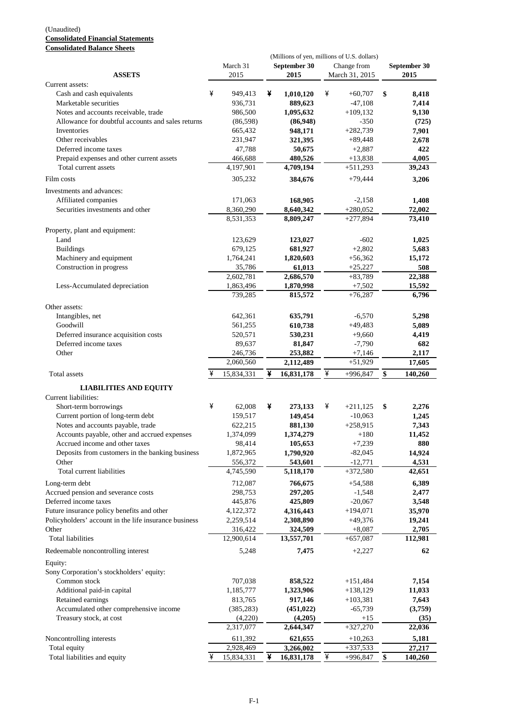#### (Unaudited) **Consolidated Financial Statements Consolidated Balance Sheets**

|                                                       |   |            |   | (Millions of yen, millions of U.S. dollars) |   |                |                 |              |
|-------------------------------------------------------|---|------------|---|---------------------------------------------|---|----------------|-----------------|--------------|
|                                                       |   | March 31   |   | September 30                                |   | Change from    |                 | September 30 |
| <b>ASSETS</b>                                         |   | 2015       |   | 2015                                        |   | March 31, 2015 |                 | 2015         |
| Current assets:                                       |   |            |   |                                             |   |                |                 |              |
| Cash and cash equivalents                             | ¥ | 949,413    | ¥ | 1,010,120                                   | ¥ | $+60,707$      | \$              | 8,418        |
| Marketable securities                                 |   | 936,731    |   | 889,623                                     |   | $-47,108$      |                 | 7,414        |
| Notes and accounts receivable, trade                  |   | 986,500    |   | 1,095,632                                   |   | $+109,132$     |                 | 9,130        |
| Allowance for doubtful accounts and sales returns     |   | (86,598)   |   | (86,948)                                    |   | $-350$         |                 | (725)        |
| Inventories                                           |   | 665,432    |   | 948,171                                     |   | $+282,739$     |                 | 7,901        |
| Other receivables                                     |   | 231,947    |   | 321,395                                     |   | $+89,448$      |                 | 2,678        |
| Deferred income taxes                                 |   | 47.788     |   | 50,675                                      |   | $+2,887$       |                 | 422          |
| Prepaid expenses and other current assets             |   | 466,688    |   | 480,526                                     |   | $+13,838$      |                 | 4.005        |
| Total current assets                                  |   | 4,197,901  |   | 4,709,194                                   |   | $+511,293$     |                 | 39,243       |
| Film costs                                            |   | 305,232    |   | 384,676                                     |   | +79,444        |                 | 3,206        |
| Investments and advances:                             |   |            |   |                                             |   |                |                 |              |
| Affiliated companies                                  |   | 171,063    |   | 168,905                                     |   | $-2,158$       |                 | 1,408        |
| Securities investments and other                      |   | 8,360,290  |   | 8,640,342                                   |   | $+280,052$     |                 | 72,002       |
|                                                       |   | 8,531,353  |   | 8,809,247                                   |   | $+277,894$     |                 | 73,410       |
| Property, plant and equipment:                        |   |            |   |                                             |   |                |                 |              |
| Land                                                  |   | 123,629    |   | 123,027                                     |   | $-602$         |                 | 1,025        |
| <b>Buildings</b>                                      |   | 679,125    |   | 681,927                                     |   | $+2,802$       |                 | 5,683        |
| Machinery and equipment                               |   | 1,764,241  |   | 1,820,603                                   |   | $+56,362$      |                 | 15,172       |
| Construction in progress                              |   | 35,786     |   | 61,013                                      |   | $+25,227$      |                 | 508          |
|                                                       |   | 2,602,781  |   | 2,686,570                                   |   | $+83,789$      |                 | 22,388       |
| Less-Accumulated depreciation                         |   | 1,863,496  |   | 1,870,998                                   |   | $+7,502$       |                 | 15,592       |
|                                                       |   | 739,285    |   | 815,572                                     |   | $+76,287$      |                 | 6,796        |
| Other assets:                                         |   |            |   |                                             |   |                |                 |              |
| Intangibles, net                                      |   | 642,361    |   | 635,791                                     |   | $-6,570$       |                 | 5,298        |
| Goodwill                                              |   | 561,255    |   | 610,738                                     |   | $+49,483$      |                 | 5,089        |
| Deferred insurance acquisition costs                  |   | 520,571    |   |                                             |   | $+9,660$       |                 |              |
|                                                       |   |            |   | 530,231                                     |   |                |                 | 4,419        |
| Deferred income taxes                                 |   | 89,637     |   | 81,847                                      |   | $-7,790$       |                 | 682          |
| Other                                                 |   | 246,736    |   | 253,882                                     |   | $+7,146$       |                 | 2,117        |
|                                                       |   | 2,060,560  |   | 2,112,489                                   |   | $+51,929$      |                 | 17,605       |
| Total assets                                          | ¥ | 15,834,331 | ¥ | 16,831,178                                  | ¥ | $+996,847$     | \$              | 140,260      |
| <b>LIABILITIES AND EQUITY</b>                         |   |            |   |                                             |   |                |                 |              |
| Current liabilities:                                  |   |            |   |                                             |   |                |                 |              |
| Short-term borrowings                                 | ¥ | 62,008     | ¥ | 273,133                                     | ¥ | $+211,125$     | \$              | 2,276        |
| Current portion of long-term debt                     |   | 159,517    |   | 149,454                                     |   | $-10,063$      |                 | 1,245        |
| Notes and accounts payable, trade                     |   | 622,215    |   | 881,130                                     |   | $+258,915$     |                 | 7,343        |
| Accounts payable, other and accrued expenses          |   | 1,374,099  |   | 1,374,279                                   |   | $+180$         |                 | 11,452       |
| Accrued income and other taxes                        |   | 98,414     |   | 105,653                                     |   | $+7,239$       |                 | 880          |
| Deposits from customers in the banking business       |   | 1,872,965  |   | 1,790,920                                   |   | $-82,045$      |                 | 14,924       |
| Other                                                 |   | 556,372    |   | 543,601                                     |   | $-12,771$      |                 | 4,531        |
| Total current liabilities                             |   | 4,745,590  |   | 5,118,170                                   |   | $+372,580$     |                 | 42,651       |
|                                                       |   |            |   |                                             |   |                |                 |              |
| Long-term debt                                        |   | 712,087    |   | 766,675                                     |   | $+54,588$      |                 | 6,389        |
| Accrued pension and severance costs                   |   | 298,753    |   | 297,205                                     |   | $-1,548$       |                 | 2,477        |
| Deferred income taxes                                 |   | 445,876    |   | 425,809                                     |   | $-20,067$      |                 | 3,548        |
| Future insurance policy benefits and other            |   | 4,122,372  |   | 4,316,443                                   |   | $+194,071$     |                 | 35,970       |
| Policyholders' account in the life insurance business |   | 2,259,514  |   | 2,308,890                                   |   | $+49,376$      |                 | 19,241       |
| Other                                                 |   | 316,422    |   | 324,509                                     |   | $+8,087$       |                 | 2,705        |
| <b>Total liabilities</b>                              |   | 12,900,614 |   | 13,557,701                                  |   | $+657,087$     |                 | 112,981      |
| Redeemable noncontrolling interest                    |   | 5,248      |   | 7,475                                       |   | $+2,227$       |                 | 62           |
| Equity:                                               |   |            |   |                                             |   |                |                 |              |
| Sony Corporation's stockholders' equity:              |   |            |   |                                             |   |                |                 |              |
| Common stock                                          |   | 707,038    |   | 858,522                                     |   | $+151,484$     |                 | 7,154        |
|                                                       |   |            |   |                                             |   | $+138,129$     |                 |              |
| Additional paid-in capital                            |   | 1,185,777  |   | 1,323,906                                   |   |                |                 | 11,033       |
| Retained earnings                                     |   | 813,765    |   | 917,146                                     |   | $+103,381$     |                 | 7,643        |
| Accumulated other comprehensive income                |   | (385, 283) |   | (451, 022)                                  |   | $-65,739$      |                 | (3,759)      |
| Treasury stock, at cost                               |   | (4,220)    |   | (4,205)                                     |   | $+15$          |                 | (35)         |
|                                                       |   | 2,317,077  |   | 2,644,347                                   |   | $+327,270$     |                 | 22,036       |
| Noncontrolling interests                              |   | 611,392    |   | 621,655                                     |   | $+10,263$      |                 | 5,181        |
| Total equity                                          |   | 2,928,469  |   | 3,266,002                                   |   | $+337,533$     |                 | 27,217       |
| Total liabilities and equity                          | ¥ | 15,834,331 | ¥ | 16,831,178                                  | ¥ | $+996,847$     | $\overline{\$}$ | 140,260      |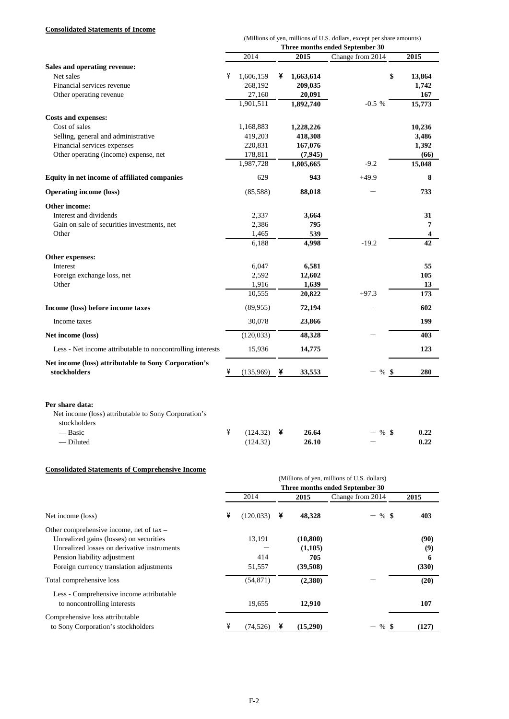### **Consolidated Statements of Income**

|                                                                                         |                                 |                 |   |                 | (Millions of yen, millions of U.S. dollars, except per share amounts) |           |  |  |
|-----------------------------------------------------------------------------------------|---------------------------------|-----------------|---|-----------------|-----------------------------------------------------------------------|-----------|--|--|
|                                                                                         | Three months ended September 30 |                 |   |                 |                                                                       |           |  |  |
|                                                                                         |                                 | 2014            |   | 2015            | Change from 2014                                                      | 2015      |  |  |
| Sales and operating revenue:                                                            |                                 |                 |   |                 |                                                                       |           |  |  |
| Net sales                                                                               | ¥                               | 1,606,159       | ¥ | 1,663,614       | \$                                                                    | 13,864    |  |  |
| Financial services revenue                                                              |                                 | 268,192         |   | 209,035         |                                                                       | 1,742     |  |  |
| Other operating revenue                                                                 |                                 | 27,160          |   | 20,091          |                                                                       | 167       |  |  |
|                                                                                         |                                 | 1,901,511       |   | 1,892,740       | $-0.5%$                                                               | 15,773    |  |  |
| <b>Costs and expenses:</b>                                                              |                                 |                 |   |                 |                                                                       |           |  |  |
| Cost of sales                                                                           |                                 | 1,168,883       |   | 1,228,226       |                                                                       | 10,236    |  |  |
| Selling, general and administrative                                                     |                                 | 419,203         |   | 418,308         |                                                                       | 3,486     |  |  |
| Financial services expenses                                                             |                                 | 220,831         |   | 167,076         |                                                                       | 1,392     |  |  |
| Other operating (income) expense, net                                                   |                                 | 178,811         |   | (7, 945)        |                                                                       | (66)      |  |  |
|                                                                                         |                                 | 1,987,728       |   | 1,805,665       | $-9.2$                                                                | 15,048    |  |  |
|                                                                                         |                                 |                 |   |                 |                                                                       |           |  |  |
| Equity in net income of affiliated companies                                            |                                 | 629             |   | 943             | $+49.9$                                                               | 8         |  |  |
| <b>Operating income (loss)</b>                                                          |                                 | (85,588)        |   | 88,018          |                                                                       | 733       |  |  |
| Other income:                                                                           |                                 |                 |   |                 |                                                                       |           |  |  |
| Interest and dividends                                                                  |                                 | 2,337           |   | 3,664           |                                                                       | 31        |  |  |
| Gain on sale of securities investments, net                                             |                                 | 2,386           |   | 795             |                                                                       | 7         |  |  |
| Other                                                                                   |                                 | 1,465           |   | 539             |                                                                       | 4         |  |  |
|                                                                                         |                                 | 6,188           |   | 4,998           | $-19.2$                                                               | 42        |  |  |
|                                                                                         |                                 |                 |   |                 |                                                                       |           |  |  |
| Other expenses:                                                                         |                                 |                 |   |                 |                                                                       |           |  |  |
| Interest                                                                                |                                 | 6,047           |   | 6,581           |                                                                       | 55        |  |  |
| Foreign exchange loss, net<br>Other                                                     |                                 | 2,592           |   | 12,602          |                                                                       | 105       |  |  |
|                                                                                         |                                 | 1,916<br>10,555 |   | 1,639<br>20,822 | $+97.3$                                                               | 13<br>173 |  |  |
|                                                                                         |                                 |                 |   |                 |                                                                       |           |  |  |
| Income (loss) before income taxes                                                       |                                 | (89, 955)       |   | 72,194          |                                                                       | 602       |  |  |
| Income taxes                                                                            |                                 | 30,078          |   | 23,866          |                                                                       | 199       |  |  |
| Net income (loss)                                                                       |                                 | (120, 033)      |   | 48,328          |                                                                       | 403       |  |  |
| Less - Net income attributable to noncontrolling interests                              |                                 | 15,936          |   | 14,775          |                                                                       | 123       |  |  |
| Net income (loss) attributable to Sony Corporation's                                    |                                 |                 |   |                 |                                                                       |           |  |  |
| stockholders                                                                            | ¥                               | (135,969)       | ¥ | 33,553          | $-$ %<br>- \$                                                         | 280       |  |  |
| Per share data:<br>Net income (loss) attributable to Sony Corporation's<br>stockholders |                                 |                 |   |                 |                                                                       |           |  |  |
| — Basic                                                                                 | ¥                               | (124.32)        | ¥ | 26.64           | - \$<br>$\%$                                                          | 0.22      |  |  |
| — Diluted                                                                               |                                 | (124.32)        |   | 26.10           |                                                                       | 0.22      |  |  |

# **Consolidated Statements of Comprehensive Income**

|                                                                         |   | (Millions of yen, millions of U.S. dollars)<br>Three months ended September 30 |   |           |                  |       |
|-------------------------------------------------------------------------|---|--------------------------------------------------------------------------------|---|-----------|------------------|-------|
|                                                                         |   | 2014                                                                           |   | 2015      | Change from 2014 | 2015  |
| Net income (loss)                                                       | ¥ | (120, 033)                                                                     | ¥ | 48,328    | $%$ \$           | 403   |
| Other comprehensive income, net of tax –                                |   |                                                                                |   |           |                  |       |
| Unrealized gains (losses) on securities                                 |   | 13,191                                                                         |   | (10, 800) |                  | (90)  |
| Unrealized losses on derivative instruments                             |   |                                                                                |   | (1,105)   |                  | (9)   |
| Pension liability adjustment                                            |   | 414                                                                            |   | 705       |                  | 6     |
| Foreign currency translation adjustments                                |   | 51,557                                                                         |   | (39,508)  |                  | (330) |
| Total comprehensive loss                                                |   | (54, 871)                                                                      |   | (2,380)   |                  | (20)  |
| Less - Comprehensive income attributable<br>to noncontrolling interests |   | 19,655                                                                         |   | 12,910    |                  | 107   |
| Comprehensive loss attributable<br>to Sony Corporation's stockholders   |   | (74, 526)                                                                      |   | (15,290)  | %                | (127) |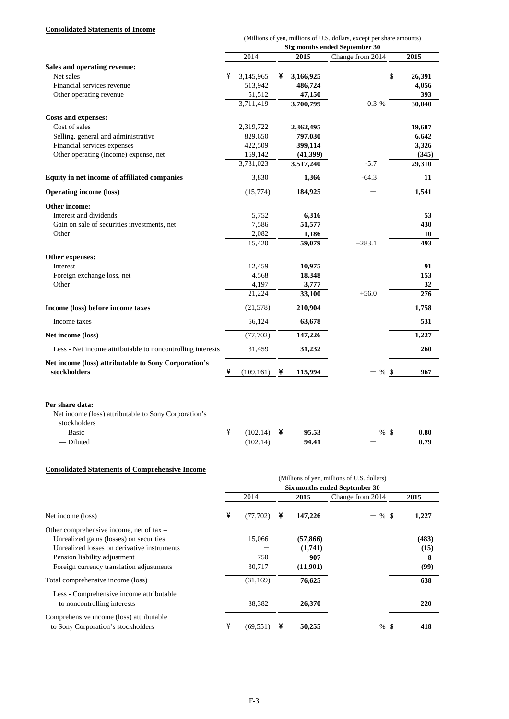### **Consolidated Statements of Income**

|                                                                                         |                               |                 |   |                 | (Millions of yen, millions of U.S. dollars, except per share amounts) |           |  |  |
|-----------------------------------------------------------------------------------------|-------------------------------|-----------------|---|-----------------|-----------------------------------------------------------------------|-----------|--|--|
|                                                                                         | Six months ended September 30 |                 |   |                 |                                                                       |           |  |  |
|                                                                                         |                               | 2014            |   | 2015            | Change from 2014                                                      | 2015      |  |  |
| Sales and operating revenue:                                                            |                               |                 |   |                 |                                                                       |           |  |  |
| Net sales                                                                               | ¥                             | 3,145,965       | ¥ | 3,166,925       | \$                                                                    | 26,391    |  |  |
| Financial services revenue                                                              |                               | 513,942         |   | 486,724         |                                                                       | 4,056     |  |  |
| Other operating revenue                                                                 |                               | 51,512          |   | 47,150          |                                                                       | 393       |  |  |
|                                                                                         |                               | 3,711,419       |   | 3,700,799       | $-0.3 %$                                                              | 30,840    |  |  |
| <b>Costs and expenses:</b>                                                              |                               |                 |   |                 |                                                                       |           |  |  |
| Cost of sales                                                                           |                               | 2,319,722       |   | 2,362,495       |                                                                       | 19,687    |  |  |
| Selling, general and administrative                                                     |                               | 829,650         |   | 797,030         |                                                                       | 6,642     |  |  |
| Financial services expenses                                                             |                               | 422,509         |   | 399,114         |                                                                       | 3,326     |  |  |
| Other operating (income) expense, net                                                   |                               | 159,142         |   | (41,399)        |                                                                       | (345)     |  |  |
|                                                                                         |                               | 3,731,023       |   | 3,517,240       | $-5.7$                                                                | 29,310    |  |  |
| Equity in net income of affiliated companies                                            |                               | 3,830           |   | 1,366           | $-64.3$                                                               | 11        |  |  |
| <b>Operating income (loss)</b>                                                          |                               | (15,774)        |   | 184,925         |                                                                       | 1,541     |  |  |
| Other income:                                                                           |                               |                 |   |                 |                                                                       |           |  |  |
| Interest and dividends                                                                  |                               | 5,752           |   | 6,316           |                                                                       | 53        |  |  |
| Gain on sale of securities investments, net                                             |                               | 7,586           |   | 51,577          |                                                                       | 430       |  |  |
| Other                                                                                   |                               | 2,082           |   | 1,186           |                                                                       | 10        |  |  |
|                                                                                         |                               | 15,420          |   | 59,079          | $+283.1$                                                              | 493       |  |  |
|                                                                                         |                               |                 |   |                 |                                                                       |           |  |  |
| Other expenses:<br>Interest                                                             |                               |                 |   |                 |                                                                       |           |  |  |
|                                                                                         |                               | 12,459<br>4,568 |   | 10,975          |                                                                       | 91<br>153 |  |  |
| Foreign exchange loss, net<br>Other                                                     |                               | 4,197           |   | 18,348<br>3,777 |                                                                       | 32        |  |  |
|                                                                                         |                               | 21,224          |   | 33,100          | $+56.0$                                                               | 276       |  |  |
|                                                                                         |                               |                 |   |                 |                                                                       |           |  |  |
| Income (loss) before income taxes                                                       |                               | (21, 578)       |   | 210,904         |                                                                       | 1,758     |  |  |
| Income taxes                                                                            |                               | 56,124          |   | 63,678          |                                                                       | 531       |  |  |
| Net income (loss)                                                                       |                               | (77,702)        |   | 147,226         |                                                                       | 1,227     |  |  |
| Less - Net income attributable to noncontrolling interests                              |                               | 31,459          |   | 31,232          |                                                                       | 260       |  |  |
| Net income (loss) attributable to Sony Corporation's<br>stockholders                    |                               |                 |   |                 |                                                                       |           |  |  |
|                                                                                         | ¥                             | (109, 161)      | ¥ | 115,994         | $-$ % \$                                                              | 967       |  |  |
| Per share data:<br>Net income (loss) attributable to Sony Corporation's<br>stockholders | ¥                             |                 |   |                 |                                                                       |           |  |  |
| — Basic                                                                                 |                               | (102.14)        | ¥ | 95.53           | %\$                                                                   | 0.80      |  |  |
| — Diluted                                                                               |                               | (102.14)        |   | 94.41           |                                                                       | 0.79      |  |  |

# **Consolidated Statements of Comprehensive Income**

|                                                                                                                                                                                                                  | (Millions of yen, millions of U.S. dollars)<br>Six months ended September 30 |                         |   |                                         |                  |                            |
|------------------------------------------------------------------------------------------------------------------------------------------------------------------------------------------------------------------|------------------------------------------------------------------------------|-------------------------|---|-----------------------------------------|------------------|----------------------------|
|                                                                                                                                                                                                                  |                                                                              | 2014                    |   | 2015                                    | Change from 2014 | 2015                       |
| Net income (loss)                                                                                                                                                                                                | ¥                                                                            | (77,702)                | ¥ | 147,226                                 | $%$ \$           | 1,227                      |
| Other comprehensive income, net of $tax -$<br>Unrealized gains (losses) on securities<br>Unrealized losses on derivative instruments<br>Pension liability adjustment<br>Foreign currency translation adjustments |                                                                              | 15,066<br>750<br>30,717 |   | (57, 866)<br>(1,741)<br>907<br>(11,901) |                  | (483)<br>(15)<br>8<br>(99) |
| Total comprehensive income (loss)                                                                                                                                                                                |                                                                              | (31, 169)               |   | 76,625                                  |                  | 638                        |
| Less - Comprehensive income attributable<br>to noncontrolling interests                                                                                                                                          |                                                                              | 38,382                  |   | 26,370                                  |                  | 220                        |
| Comprehensive income (loss) attributable<br>to Sony Corporation's stockholders                                                                                                                                   |                                                                              | (69, 551)               |   | 50,255                                  | %                | 418                        |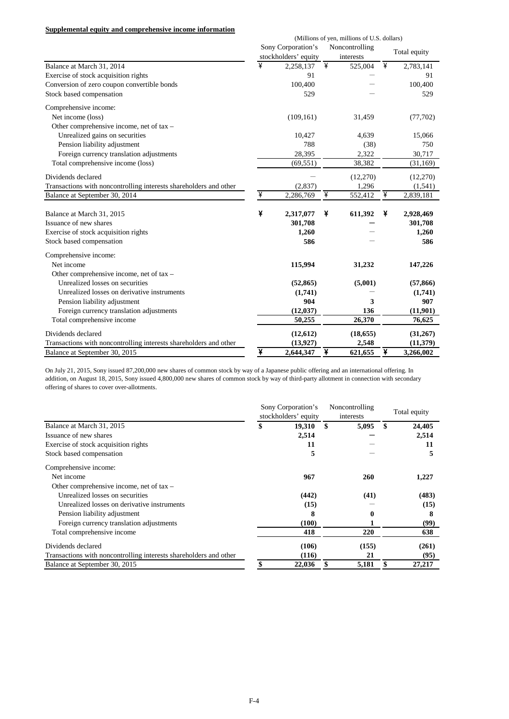### **Supplemental equity and comprehensive income information**

|                                                                   |   |                                            |   | (Millions of yen, millions of U.S. dollars) |   |              |
|-------------------------------------------------------------------|---|--------------------------------------------|---|---------------------------------------------|---|--------------|
|                                                                   |   | Sony Corporation's<br>stockholders' equity |   | Noncontrolling<br>interests                 |   | Total equity |
| Balance at March 31, 2014                                         | ¥ | 2,258,137                                  | ¥ | 525,004                                     | ¥ | 2,783,141    |
| Exercise of stock acquisition rights                              |   | 91                                         |   |                                             |   | 91           |
| Conversion of zero coupon convertible bonds                       |   | 100,400                                    |   |                                             |   | 100,400      |
| Stock based compensation                                          |   | 529                                        |   |                                             |   | 529          |
| Comprehensive income:                                             |   |                                            |   |                                             |   |              |
| Net income (loss)                                                 |   | (109, 161)                                 |   | 31,459                                      |   | (77, 702)    |
| Other comprehensive income, net of tax -                          |   |                                            |   |                                             |   |              |
| Unrealized gains on securities                                    |   | 10,427                                     |   | 4,639                                       |   | 15,066       |
| Pension liability adjustment                                      |   | 788                                        |   | (38)                                        |   | 750          |
| Foreign currency translation adjustments                          |   | 28,395                                     |   | 2,322                                       |   | 30,717       |
| Total comprehensive income (loss)                                 |   | (69, 551)                                  |   | 38,382                                      |   | (31, 169)    |
| Dividends declared                                                |   |                                            |   | (12,270)                                    |   | (12,270)     |
| Transactions with noncontrolling interests shareholders and other |   | (2,837)                                    |   | 1,296                                       |   | (1, 541)     |
| Balance at September 30, 2014                                     | ¥ | 2,286,769                                  | ¥ | 552,412                                     | ¥ | 2,839,181    |
| Balance at March 31, 2015                                         | ¥ | 2,317,077                                  | ¥ | 611,392                                     | ¥ | 2,928,469    |
| Issuance of new shares                                            |   | 301,708                                    |   |                                             |   | 301,708      |
| Exercise of stock acquisition rights                              |   | 1,260                                      |   |                                             |   | 1,260        |
| Stock based compensation                                          |   | 586                                        |   |                                             |   | 586          |
| Comprehensive income:                                             |   |                                            |   |                                             |   |              |
| Net income                                                        |   | 115,994                                    |   | 31,232                                      |   | 147,226      |
| Other comprehensive income, net of tax -                          |   |                                            |   |                                             |   |              |
| Unrealized losses on securities                                   |   | (52, 865)                                  |   | (5,001)                                     |   | (57, 866)    |
| Unrealized losses on derivative instruments                       |   | (1,741)                                    |   |                                             |   | (1,741)      |
| Pension liability adjustment                                      |   | 904                                        |   | 3                                           |   | 907          |
| Foreign currency translation adjustments                          |   | (12, 037)                                  |   | 136                                         |   | (11,901)     |
| Total comprehensive income                                        |   | 50,255                                     |   | 26,370                                      |   | 76,625       |
| Dividends declared                                                |   | (12,612)                                   |   | (18, 655)                                   |   | (31,267)     |
| Transactions with noncontrolling interests shareholders and other |   | (13, 927)                                  |   | 2,548                                       |   | (11, 379)    |
| Balance at September 30, 2015                                     | ¥ | 2.644.347                                  | ¥ | 621,655                                     | ¥ | 3,266,002    |

On July 21, 2015, Sony issued 87,200,000 new shares of common stock by way of a Japanese public offering and an international offering. In addition, on August 18, 2015, Sony issued 4,800,000 new shares of common stock by way of third-party allotment in connection with secondary offering of shares to cover over-allotments.

|                                                                   | Sony Corporation's<br>stockholders' equity | Noncontrolling<br>interests | Total equity |
|-------------------------------------------------------------------|--------------------------------------------|-----------------------------|--------------|
| Balance at March 31, 2015                                         | \$<br>19,310                               | \$<br>5,095                 | \$<br>24,405 |
| Issuance of new shares                                            | 2,514                                      |                             | 2,514        |
| Exercise of stock acquisition rights                              | 11                                         |                             | 11           |
| Stock based compensation                                          | 5                                          |                             | 5            |
| Comprehensive income:                                             |                                            |                             |              |
| Net income                                                        | 967                                        | <b>260</b>                  | 1,227        |
| Other comprehensive income, net of $tax -$                        |                                            |                             |              |
| Unrealized losses on securities                                   | (442)                                      | (41)                        | (483)        |
| Unrealized losses on derivative instruments                       | (15)                                       |                             | (15)         |
| Pension liability adjustment                                      | 8                                          |                             | 8            |
| Foreign currency translation adjustments                          | (100)                                      |                             | (99)         |
| Total comprehensive income                                        | 418                                        | 220                         | 638          |
| Dividends declared                                                | (106)                                      | (155)                       | (261)        |
| Transactions with noncontrolling interests shareholders and other | (116)                                      | 21                          | (95)         |
| Balance at September 30, 2015                                     | 22,036                                     | 5,181                       | 27,217       |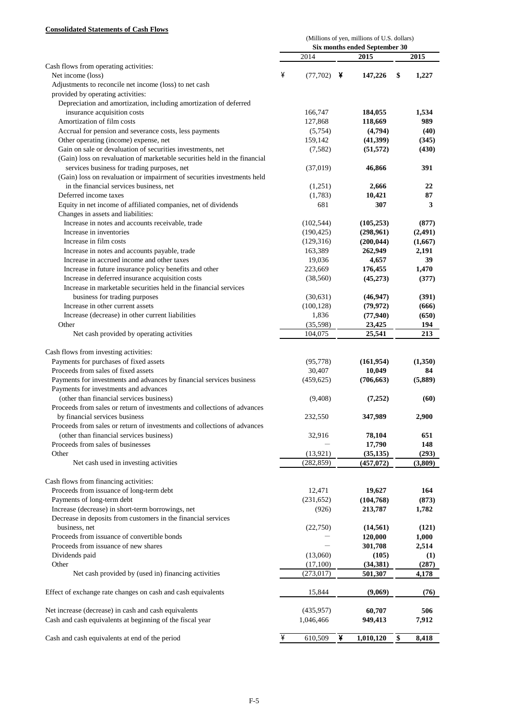# **Consolidated Statements of Cash Flows**

|                                                                           | (Millions of yen, millions of U.S. dollars)<br>Six months ended September 30 |            |   |            |    |         |  |  |
|---------------------------------------------------------------------------|------------------------------------------------------------------------------|------------|---|------------|----|---------|--|--|
|                                                                           |                                                                              | 2014       |   |            |    |         |  |  |
| Cash flows from operating activities:                                     |                                                                              |            |   | 2015       |    | 2015    |  |  |
| Net income (loss)                                                         | ¥                                                                            | (77,702)   | ¥ | 147,226    | \$ | 1,227   |  |  |
| Adjustments to reconcile net income (loss) to net cash                    |                                                                              |            |   |            |    |         |  |  |
| provided by operating activities:                                         |                                                                              |            |   |            |    |         |  |  |
| Depreciation and amortization, including amortization of deferred         |                                                                              |            |   |            |    |         |  |  |
| insurance acquisition costs                                               |                                                                              | 166,747    |   | 184,055    |    | 1,534   |  |  |
| Amortization of film costs                                                |                                                                              | 127,868    |   | 118,669    |    | 989     |  |  |
| Accrual for pension and severance costs, less payments                    |                                                                              | (5,754)    |   | (4,794)    |    | (40)    |  |  |
| Other operating (income) expense, net                                     |                                                                              | 159,142    |   | (41,399)   |    | (345)   |  |  |
| Gain on sale or devaluation of securities investments, net                |                                                                              | (7,582)    |   | (51, 572)  |    | (430)   |  |  |
| (Gain) loss on revaluation of marketable securities held in the financial |                                                                              |            |   |            |    |         |  |  |
| services business for trading purposes, net                               |                                                                              | (37, 019)  |   | 46,866     |    | 391     |  |  |
| (Gain) loss on revaluation or impairment of securities investments held   |                                                                              |            |   |            |    |         |  |  |
| in the financial services business, net                                   |                                                                              | (1,251)    |   | 2,666      |    | 22      |  |  |
| Deferred income taxes                                                     |                                                                              | (1,783)    |   | 10,421     |    | 87      |  |  |
| Equity in net income of affiliated companies, net of dividends            |                                                                              | 681        |   | 307        |    | 3       |  |  |
| Changes in assets and liabilities:                                        |                                                                              |            |   |            |    |         |  |  |
| Increase in notes and accounts receivable, trade                          |                                                                              | (102, 544) |   | (105, 253) |    | (877)   |  |  |
| Increase in inventories                                                   |                                                                              | (190, 425) |   | (298,961)  |    | (2,491) |  |  |
| Increase in film costs                                                    |                                                                              | (129,316)  |   | (200, 044) |    | (1,667) |  |  |
| Increase in notes and accounts payable, trade                             |                                                                              | 163,389    |   | 262,949    |    | 2,191   |  |  |
| Increase in accrued income and other taxes                                |                                                                              | 19,036     |   | 4,657      |    | 39      |  |  |
| Increase in future insurance policy benefits and other                    |                                                                              | 223,669    |   | 176,455    |    | 1,470   |  |  |
| Increase in deferred insurance acquisition costs                          |                                                                              | (38, 560)  |   | (45,273)   |    | (377)   |  |  |
| Increase in marketable securities held in the financial services          |                                                                              |            |   |            |    |         |  |  |
| business for trading purposes                                             |                                                                              | (30,631)   |   | (46, 947)  |    | (391)   |  |  |
| Increase in other current assets                                          |                                                                              | (100, 128) |   | (79, 972)  |    | (666)   |  |  |
| Increase (decrease) in other current liabilities                          |                                                                              | 1,836      |   | (77, 940)  |    | (650)   |  |  |
| Other                                                                     |                                                                              | (35,598)   |   | 23,425     |    | 194     |  |  |
| Net cash provided by operating activities                                 |                                                                              | 104,075    |   | 25,541     |    | 213     |  |  |
| Cash flows from investing activities:                                     |                                                                              |            |   |            |    |         |  |  |
| Payments for purchases of fixed assets                                    |                                                                              | (95, 778)  |   | (161, 954) |    | (1,350) |  |  |
| Proceeds from sales of fixed assets                                       |                                                                              | 30,407     |   | 10,049     |    | 84      |  |  |
| Payments for investments and advances by financial services business      |                                                                              | (459, 625) |   | (706, 663) |    | (5,889) |  |  |
| Payments for investments and advances                                     |                                                                              |            |   |            |    |         |  |  |
| (other than financial services business)                                  |                                                                              | (9, 408)   |   | (7,252)    |    | (60)    |  |  |
| Proceeds from sales or return of investments and collections of advances  |                                                                              |            |   |            |    |         |  |  |
| by financial services business                                            |                                                                              | 232,550    |   | 347,989    |    | 2,900   |  |  |
| Proceeds from sales or return of investments and collections of advances  |                                                                              |            |   |            |    |         |  |  |
| (other than financial services business)                                  |                                                                              | 32,916     |   | 78,104     |    | 651     |  |  |
| Proceeds from sales of businesses                                         |                                                                              |            |   | 17,790     |    | 148     |  |  |
| Other                                                                     |                                                                              | (13, 921)  |   | (35, 135)  |    | (293)   |  |  |
| Net cash used in investing activities                                     |                                                                              | (282, 859) |   | (457,072)  |    | (3,809) |  |  |
|                                                                           |                                                                              |            |   |            |    |         |  |  |
| Cash flows from financing activities:                                     |                                                                              |            |   |            |    |         |  |  |
| Proceeds from issuance of long-term debt                                  |                                                                              | 12,471     |   | 19,627     |    | 164     |  |  |
| Payments of long-term debt                                                |                                                                              | (231, 652) |   | (104, 768) |    | (873)   |  |  |
| Increase (decrease) in short-term borrowings, net                         |                                                                              | (926)      |   | 213,787    |    | 1,782   |  |  |
| Decrease in deposits from customers in the financial services             |                                                                              |            |   |            |    |         |  |  |
| business, net                                                             |                                                                              | (22,750)   |   | (14, 561)  |    | (121)   |  |  |
| Proceeds from issuance of convertible bonds                               |                                                                              |            |   | 120,000    |    | 1,000   |  |  |
| Proceeds from issuance of new shares                                      |                                                                              |            |   | 301,708    |    | 2,514   |  |  |
| Dividends paid                                                            |                                                                              | (13,060)   |   | (105)      |    | (1)     |  |  |
| Other                                                                     |                                                                              | (17,100)   |   | (34, 381)  |    | (287)   |  |  |
| Net cash provided by (used in) financing activities                       |                                                                              | (273, 017) |   | 501,307    |    | 4,178   |  |  |
| Effect of exchange rate changes on cash and cash equivalents              |                                                                              | 15,844     |   | (9,069)    |    | (76)    |  |  |
| Net increase (decrease) in cash and cash equivalents                      |                                                                              | (435, 957) |   | 60,707     |    | 506     |  |  |
| Cash and cash equivalents at beginning of the fiscal year                 |                                                                              | 1,046,466  |   | 949,413    |    | 7,912   |  |  |
|                                                                           |                                                                              |            |   |            |    |         |  |  |
| Cash and cash equivalents at end of the period                            | ¥                                                                            | 610,509    | ¥ | 1,010,120  | \$ | 8,418   |  |  |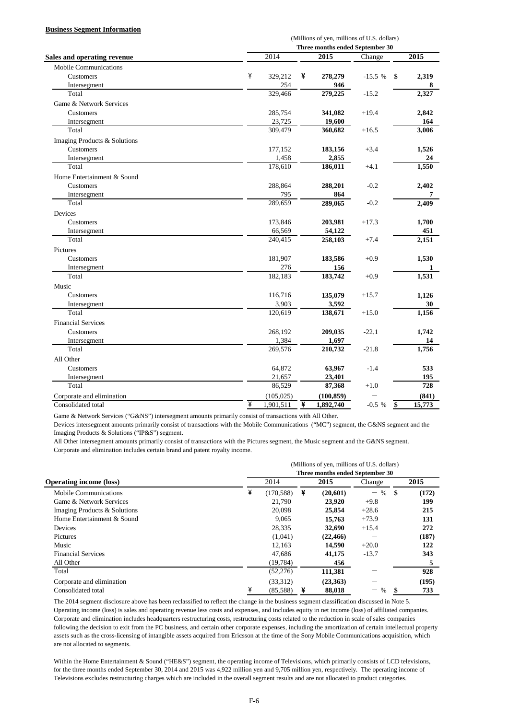### **Business Segment Information**

| Three months ended September 30<br>2014<br>2015<br>Change<br><b>Sales and operating revenue</b><br><b>Mobile Communications</b><br>¥<br>Customers<br>¥<br>329,212<br>278,279<br>$-15.5%$<br>\$<br>254<br>946<br>Intersegment<br>279,225<br>Total<br>329,466<br>$-15.2$<br>Game & Network Services<br>285,754<br>$+19.4$<br>Customers<br>341,082 | 2015<br>2,319<br>8<br>2,327<br>2,842<br>164<br>3,006<br>1,526 |
|-------------------------------------------------------------------------------------------------------------------------------------------------------------------------------------------------------------------------------------------------------------------------------------------------------------------------------------------------|---------------------------------------------------------------|
|                                                                                                                                                                                                                                                                                                                                                 |                                                               |
|                                                                                                                                                                                                                                                                                                                                                 |                                                               |
|                                                                                                                                                                                                                                                                                                                                                 |                                                               |
|                                                                                                                                                                                                                                                                                                                                                 |                                                               |
|                                                                                                                                                                                                                                                                                                                                                 |                                                               |
|                                                                                                                                                                                                                                                                                                                                                 |                                                               |
|                                                                                                                                                                                                                                                                                                                                                 |                                                               |
|                                                                                                                                                                                                                                                                                                                                                 |                                                               |
| 23,725<br>19,600<br>Intersegment                                                                                                                                                                                                                                                                                                                |                                                               |
| Total<br>309,479<br>360,682<br>$+16.5$                                                                                                                                                                                                                                                                                                          |                                                               |
| Imaging Products & Solutions                                                                                                                                                                                                                                                                                                                    |                                                               |
| Customers<br>177,152<br>$+3.4$<br>183,156                                                                                                                                                                                                                                                                                                       |                                                               |
| 1,458<br>2,855<br>Intersegment                                                                                                                                                                                                                                                                                                                  | 24                                                            |
| Total<br>178,610<br>186,011<br>$+4.1$                                                                                                                                                                                                                                                                                                           | 1,550                                                         |
| Home Entertainment & Sound                                                                                                                                                                                                                                                                                                                      |                                                               |
| $-0.2$<br>Customers<br>288,864<br>288,201                                                                                                                                                                                                                                                                                                       | 2,402                                                         |
| 795<br>864<br>Intersegment                                                                                                                                                                                                                                                                                                                      | 7                                                             |
| 289,659<br>289,065<br>$-0.2$<br>Total                                                                                                                                                                                                                                                                                                           | 2,409                                                         |
| Devices                                                                                                                                                                                                                                                                                                                                         |                                                               |
| 173,846<br>Customers<br>203,981<br>$+17.3$                                                                                                                                                                                                                                                                                                      | 1,700                                                         |
| 66,569<br>54,122<br>Intersegment                                                                                                                                                                                                                                                                                                                | 451                                                           |
| Total<br>240,415<br>258,103<br>$+7.4$                                                                                                                                                                                                                                                                                                           | 2,151                                                         |
| Pictures                                                                                                                                                                                                                                                                                                                                        |                                                               |
| 181,907<br>Customers<br>183,586<br>$+0.9$                                                                                                                                                                                                                                                                                                       | 1,530                                                         |
| 276<br>156<br>Intersegment                                                                                                                                                                                                                                                                                                                      | 1                                                             |
| 182,183<br>Total<br>183,742<br>$+0.9$                                                                                                                                                                                                                                                                                                           | 1,531                                                         |
| Music                                                                                                                                                                                                                                                                                                                                           |                                                               |
| 116,716<br>Customers<br>135,079<br>$+15.7$                                                                                                                                                                                                                                                                                                      | 1,126                                                         |
| 3,903<br>Intersegment<br>3,592                                                                                                                                                                                                                                                                                                                  | 30                                                            |
| 138,671<br>Total<br>120,619<br>$+15.0$                                                                                                                                                                                                                                                                                                          | 1,156                                                         |
| <b>Financial Services</b>                                                                                                                                                                                                                                                                                                                       |                                                               |
| Customers<br>268,192<br>$-22.1$<br>209,035                                                                                                                                                                                                                                                                                                      | 1,742                                                         |
| 1,384<br>1,697<br>Intersegment                                                                                                                                                                                                                                                                                                                  | 14                                                            |
| Total<br>269,576<br>210,732<br>$-21.8$                                                                                                                                                                                                                                                                                                          | 1,756                                                         |
| All Other                                                                                                                                                                                                                                                                                                                                       |                                                               |
| 64,872<br>Customers<br>63,967<br>$-1.4$                                                                                                                                                                                                                                                                                                         | 533                                                           |
| 21,657<br>23,401<br>Intersegment                                                                                                                                                                                                                                                                                                                | 195                                                           |
| Total<br>86,529<br>$+1.0$<br>87,368                                                                                                                                                                                                                                                                                                             | 728                                                           |
| Corporate and elimination<br>(105, 025)<br>(100, 859)                                                                                                                                                                                                                                                                                           | (841)                                                         |
| ¥<br>¥<br>Consolidated total<br>1,901,511<br>1,892,740<br>$-0.5 %$<br>\$                                                                                                                                                                                                                                                                        |                                                               |

Game & Network Services ("G&NS") intersegment amounts primarily consist of transactions with All Other.

Devices intersegment amounts primarily consist of transactions with the Mobile Communications ("MC") segment, the G&NS segment and the Imaging Products & Solutions ("IP&S") segment.

All Other intersegment amounts primarily consist of transactions with the Pictures segment, the Music segment and the G&NS segment. Corporate and elimination includes certain brand and patent royalty income.

|                                | (Millions of yen, millions of U.S. dollars) |                                 |   |           |                           |      |       |  |  |  |  |
|--------------------------------|---------------------------------------------|---------------------------------|---|-----------|---------------------------|------|-------|--|--|--|--|
|                                |                                             | Three months ended September 30 |   |           |                           |      |       |  |  |  |  |
| <b>Operating income (loss)</b> |                                             | 2014                            |   | 2015      | Change                    |      | 2015  |  |  |  |  |
| Mobile Communications          | ¥                                           | (170, 588)                      | ¥ | (20,601)  | $\%$<br>$\qquad \qquad -$ | - \$ | (172) |  |  |  |  |
| Game & Network Services        |                                             | 21.790                          |   | 23.920    | $+9.8$                    |      | 199   |  |  |  |  |
| Imaging Products & Solutions   |                                             | 20.098                          |   | 25,854    | $+28.6$                   |      | 215   |  |  |  |  |
| Home Entertainment & Sound     |                                             | 9.065                           |   | 15,763    | $+73.9$                   |      | 131   |  |  |  |  |
| Devices                        |                                             | 28,335                          |   | 32,690    | $+15.4$                   |      | 272   |  |  |  |  |
| Pictures                       |                                             | (1,041)                         |   | (22, 466) |                           |      | (187) |  |  |  |  |
| Music                          |                                             | 12,163                          |   | 14,590    | $+20.0$                   |      | 122   |  |  |  |  |
| <b>Financial Services</b>      |                                             | 47.686                          |   | 41,175    | $-13.7$                   |      | 343   |  |  |  |  |
| All Other                      |                                             | (19, 784)                       |   | 456       |                           |      |       |  |  |  |  |
| Total                          |                                             | (52, 276)                       |   | 111,381   |                           |      | 928   |  |  |  |  |
| Corporate and elimination      |                                             | (33,312)                        |   | (23,363)  |                           |      | (195) |  |  |  |  |
| Consolidated total             | ¥                                           | (85,588)                        | ¥ | 88,018    | %                         |      | 733   |  |  |  |  |

The 2014 segment disclosure above has been reclassified to reflect the change in the business segment classification discussed in Note 5. Operating income (loss) is sales and operating revenue less costs and expenses, and includes equity in net income (loss) of affiliated companies. Corporate and elimination includes headquarters restructuring costs, restructuring costs related to the reduction in scale of sales companies following the decision to exit from the PC business, and certain other corporate expenses, including the amortization of certain intellectual property assets such as the cross-licensing of intangible assets acquired from Ericsson at the time of the Sony Mobile Communications acquisition, which are not allocated to segments.

Within the Home Entertainment & Sound ("HE&S") segment, the operating income of Televisions, which primarily consists of LCD televisions, for the three months ended September 30, 2014 and 2015 was 4,922 million yen and 9,705 million yen, respectively. The operating income of Televisions excludes restructuring charges which are included in the overall segment results and are not allocated to product categories.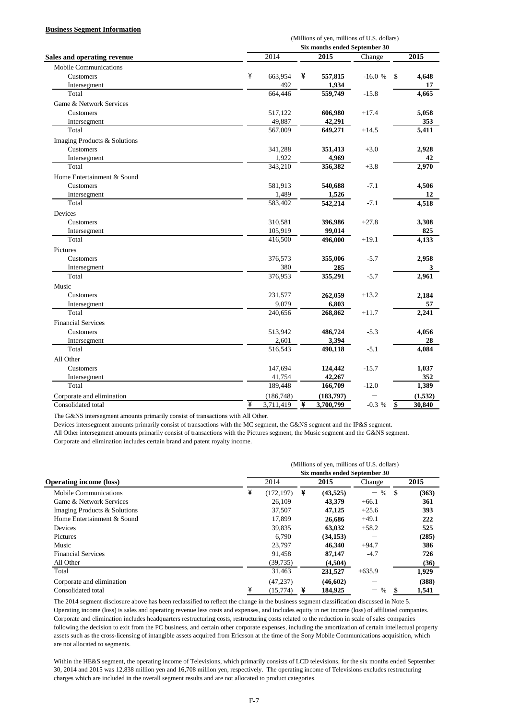#### **Business Segment Information**

|                                    |   | (Millions of yen, millions of U.S. dollars) |   |           |          |    |         |  |  |  |
|------------------------------------|---|---------------------------------------------|---|-----------|----------|----|---------|--|--|--|
|                                    |   | Six months ended September 30               |   |           |          |    |         |  |  |  |
| <b>Sales and operating revenue</b> |   | 2014                                        |   | 2015      | Change   |    | 2015    |  |  |  |
| <b>Mobile Communications</b>       |   |                                             |   |           |          |    |         |  |  |  |
| Customers                          | ¥ | 663,954                                     | ¥ | 557,815   | $-16.0%$ | \$ | 4,648   |  |  |  |
| Intersegment                       |   | 492                                         |   | 1,934     |          |    | 17      |  |  |  |
| Total                              |   | 664,446                                     |   | 559,749   | $-15.8$  |    | 4,665   |  |  |  |
| Game & Network Services            |   |                                             |   |           |          |    |         |  |  |  |
| Customers                          |   | 517,122                                     |   | 606,980   | $+17.4$  |    | 5,058   |  |  |  |
| Intersegment                       |   | 49,887                                      |   | 42,291    |          |    | 353     |  |  |  |
| Total                              |   | 567,009                                     |   | 649,271   | $+14.5$  |    | 5,411   |  |  |  |
| Imaging Products & Solutions       |   |                                             |   |           |          |    |         |  |  |  |
| Customers                          |   | 341,288                                     |   | 351,413   | $+3.0$   |    | 2,928   |  |  |  |
| Intersegment                       |   | 1,922                                       |   | 4,969     |          |    | 42      |  |  |  |
| Total                              |   | 343,210                                     |   | 356,382   | $+3.8$   |    | 2,970   |  |  |  |
| Home Entertainment & Sound         |   |                                             |   |           |          |    |         |  |  |  |
| Customers                          |   | 581,913                                     |   | 540,688   | $-7.1$   |    | 4,506   |  |  |  |
| Intersegment                       |   | 1,489                                       |   | 1,526     |          |    | 12      |  |  |  |
| Total                              |   | 583,402                                     |   | 542,214   | $-7.1$   |    | 4,518   |  |  |  |
| <b>Devices</b>                     |   |                                             |   |           |          |    |         |  |  |  |
| Customers                          |   | 310,581                                     |   | 396,986   | $+27.8$  |    | 3,308   |  |  |  |
| Intersegment                       |   | 105,919                                     |   | 99,014    |          |    | 825     |  |  |  |
| Total                              |   | 416,500                                     |   | 496,000   | $+19.1$  |    | 4,133   |  |  |  |
| Pictures                           |   |                                             |   |           |          |    |         |  |  |  |
| Customers                          |   | 376,573                                     |   | 355,006   | $-5.7$   |    | 2,958   |  |  |  |
| Intersegment                       |   | 380                                         |   | 285       |          |    | 3       |  |  |  |
| Total                              |   | 376,953                                     |   | 355,291   | $-5.7$   |    | 2,961   |  |  |  |
| Music                              |   |                                             |   |           |          |    |         |  |  |  |
| Customers                          |   | 231,577                                     |   | 262,059   | $+13.2$  |    | 2,184   |  |  |  |
| Intersegment                       |   | 9,079                                       |   | 6,803     |          |    | 57      |  |  |  |
| Total                              |   | 240,656                                     |   | 268,862   | $+11.7$  |    | 2,241   |  |  |  |
| <b>Financial Services</b>          |   |                                             |   |           |          |    |         |  |  |  |
| Customers                          |   | 513,942                                     |   | 486,724   | $-5.3$   |    | 4,056   |  |  |  |
| Intersegment                       |   | 2,601                                       |   | 3,394     |          |    | 28      |  |  |  |
| Total                              |   | 516,543                                     |   | 490,118   | $-5.1$   |    | 4,084   |  |  |  |
| All Other                          |   |                                             |   |           |          |    |         |  |  |  |
| Customers                          |   | 147,694                                     |   | 124,442   | $-15.7$  |    | 1,037   |  |  |  |
| Intersegment                       |   | 41,754                                      |   | 42,267    |          |    | 352     |  |  |  |
| Total                              |   | 189,448                                     |   | 166,709   | $-12.0$  |    | 1,389   |  |  |  |
| Corporate and elimination          |   | (186, 748)                                  |   | (183,797) |          |    | (1,532) |  |  |  |
| Consolidated total                 | ¥ | 3,711,419                                   | ¥ | 3,700,799 | $-0.3 %$ | \$ | 30,840  |  |  |  |

The G&NS intersegment amounts primarily consist of transactions with All Other.

Devices intersegment amounts primarily consist of transactions with the MC segment, the G&NS segment and the IP&S segment.

All Other intersegment amounts primarily consist of transactions with the Pictures segment, the Music segment and the G&NS segment. Corporate and elimination includes certain brand and patent royalty income.

|                                | (Millions of yen, millions of U.S. dollars) |                               |   |           |                                    |    |       |  |  |  |  |
|--------------------------------|---------------------------------------------|-------------------------------|---|-----------|------------------------------------|----|-------|--|--|--|--|
|                                |                                             | Six months ended September 30 |   |           |                                    |    |       |  |  |  |  |
| <b>Operating income (loss)</b> |                                             | 2014                          |   | 2015      | Change                             |    | 2015  |  |  |  |  |
| <b>Mobile Communications</b>   | ¥                                           | (172, 197)                    | ¥ | (43,525)  | $\frac{0}{0}$<br>$\qquad \qquad -$ | -S | (363) |  |  |  |  |
| Game & Network Services        |                                             | 26.109                        |   | 43,379    | $+66.1$                            |    | 361   |  |  |  |  |
| Imaging Products & Solutions   |                                             | 37.507                        |   | 47,125    | $+25.6$                            |    | 393   |  |  |  |  |
| Home Entertainment & Sound     |                                             | 17.899                        |   | 26,686    | $+49.1$                            |    | 222   |  |  |  |  |
| Devices                        |                                             | 39,835                        |   | 63,032    | $+58.2$                            |    | 525   |  |  |  |  |
| Pictures                       |                                             | 6.790                         |   | (34, 153) |                                    |    | (285) |  |  |  |  |
| Music                          |                                             | 23,797                        |   | 46,340    | $+94.7$                            |    | 386   |  |  |  |  |
| <b>Financial Services</b>      |                                             | 91.458                        |   | 87,147    | $-4.7$                             |    | 726   |  |  |  |  |
| All Other                      |                                             | (39, 735)                     |   | (4,504)   |                                    |    | (36)  |  |  |  |  |
| Total                          |                                             | 31,463                        |   | 231,527   | $+635.9$                           |    | 1,929 |  |  |  |  |
| Corporate and elimination      |                                             | (47, 237)                     |   | (46, 602) |                                    |    | (388) |  |  |  |  |
| Consolidated total             | ¥                                           | (15, 774)                     | ¥ | 184.925   | %<br>—                             |    | 1,541 |  |  |  |  |

The 2014 segment disclosure above has been reclassified to reflect the change in the business segment classification discussed in Note 5. Operating income (loss) is sales and operating revenue less costs and expenses, and includes equity in net income (loss) of affiliated companies. Corporate and elimination includes headquarters restructuring costs, restructuring costs related to the reduction in scale of sales companies following the decision to exit from the PC business, and certain other corporate expenses, including the amortization of certain intellectual property assets such as the cross-licensing of intangible assets acquired from Ericsson at the time of the Sony Mobile Communications acquisition, which are not allocated to segments.

Within the HE&S segment, the operating income of Televisions, which primarily consists of LCD televisions, for the six months ended September 30, 2014 and 2015 was 12,838 million yen and 16,708 million yen, respectively. The operating income of Televisions excludes restructuring charges which are included in the overall segment results and are not allocated to product categories.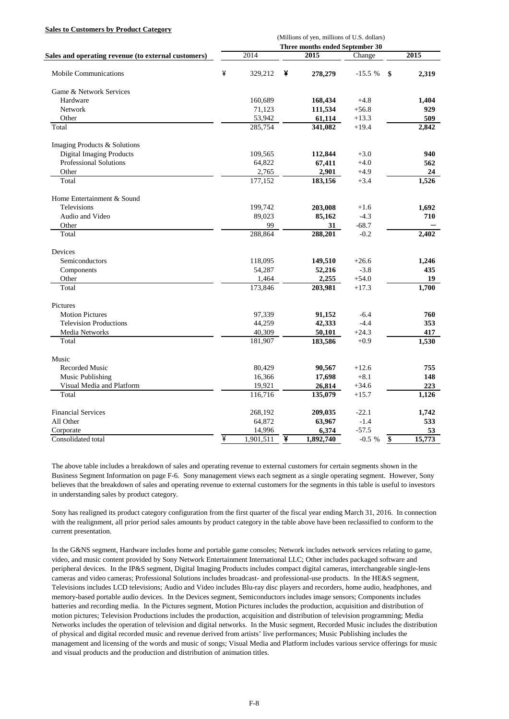#### **Sales to Customers by Product Category**

|                                                     | (Millions of yen, millions of U.S. dollars) |           |      |           |          |    |               |  |  |
|-----------------------------------------------------|---------------------------------------------|-----------|------|-----------|----------|----|---------------|--|--|
|                                                     | Three months ended September 30             |           |      |           |          |    |               |  |  |
| Sales and operating revenue (to external customers) |                                             | 2014      | 2015 |           | Change   |    | $\sqrt{2015}$ |  |  |
| <b>Mobile Communications</b>                        | ¥                                           | 329,212   | ¥    | 278,279   | $-15.5%$ | \$ | 2,319         |  |  |
| Game & Network Services                             |                                             |           |      |           |          |    |               |  |  |
| Hardware                                            |                                             | 160,689   |      | 168,434   | $+4.8$   |    | 1,404         |  |  |
| Network                                             |                                             | 71,123    |      | 111,534   | $+56.8$  |    | 929           |  |  |
| Other                                               |                                             | 53,942    |      | 61,114    | $+13.3$  |    | 509           |  |  |
| Total                                               |                                             | 285,754   |      | 341,082   | $+19.4$  |    | 2,842         |  |  |
| Imaging Products & Solutions                        |                                             |           |      |           |          |    |               |  |  |
| <b>Digital Imaging Products</b>                     |                                             | 109,565   |      | 112,844   | $+3.0$   |    | 940           |  |  |
| Professional Solutions                              |                                             | 64,822    |      | 67,411    | $+4.0$   |    | 562           |  |  |
| Other                                               |                                             | 2,765     |      | 2,901     | $+4.9$   |    | 24            |  |  |
| Total                                               |                                             | 177,152   |      | 183,156   | $+3.4$   |    | 1,526         |  |  |
| Home Entertainment & Sound                          |                                             |           |      |           |          |    |               |  |  |
| Televisions                                         |                                             | 199,742   |      | 203,008   | $+1.6$   |    | 1,692         |  |  |
| Audio and Video                                     |                                             | 89,023    |      | 85,162    | $-4.3$   |    | 710           |  |  |
| Other                                               |                                             | 99        |      | 31        | $-68.7$  |    |               |  |  |
| Total                                               |                                             | 288,864   |      | 288,201   | $-0.2$   |    | 2,402         |  |  |
| Devices                                             |                                             |           |      |           |          |    |               |  |  |
| Semiconductors                                      |                                             | 118,095   |      | 149,510   | $+26.6$  |    | 1,246         |  |  |
| Components                                          |                                             | 54,287    |      | 52,216    | $-3.8$   |    | 435           |  |  |
| Other                                               |                                             | 1,464     |      | 2,255     | $+54.0$  |    | 19            |  |  |
| Total                                               |                                             | 173,846   |      | 203,981   | $+17.3$  |    | 1,700         |  |  |
| Pictures                                            |                                             |           |      |           |          |    |               |  |  |
| <b>Motion Pictures</b>                              |                                             | 97,339    |      | 91,152    | $-6.4$   |    | 760           |  |  |
| <b>Television Productions</b>                       |                                             | 44,259    |      | 42,333    | $-4.4$   |    | 353           |  |  |
| Media Networks                                      |                                             | 40,309    |      | 50,101    | $+24.3$  |    | 417           |  |  |
| Total                                               |                                             | 181,907   |      | 183,586   | $+0.9$   |    | 1,530         |  |  |
| Music                                               |                                             |           |      |           |          |    |               |  |  |
| Recorded Music                                      |                                             | 80,429    |      | 90,567    | $+12.6$  |    | 755           |  |  |
| Music Publishing                                    |                                             | 16,366    |      | 17,698    | $+8.1$   |    | 148           |  |  |
| Visual Media and Platform                           |                                             | 19,921    |      | 26,814    | $+34.6$  |    | 223           |  |  |
| Total                                               |                                             | 116,716   |      | 135,079   | $+15.7$  |    | 1,126         |  |  |
| <b>Financial Services</b>                           |                                             | 268,192   |      | 209,035   | $-22.1$  |    | 1,742         |  |  |
| All Other                                           |                                             | 64,872    |      | 63,967    | $-1.4$   |    | 533           |  |  |
| Corporate                                           |                                             | 14,996    |      | 6,374     | $-57.5$  |    | 53            |  |  |
| Consolidated total                                  | ¥                                           | 1,901,511 | ¥    | 1,892,740 | $-0.5%$  | \$ | 15,773        |  |  |

The above table includes a breakdown of sales and operating revenue to external customers for certain segments shown in the Business Segment Information on page F-6. Sony management views each segment as a single operating segment. However, Sony believes that the breakdown of sales and operating revenue to external customers for the segments in this table is useful to investors in understanding sales by product category.

Sony has realigned its product category configuration from the first quarter of the fiscal year ending March 31, 2016. In connection with the realignment, all prior period sales amounts by product category in the table above have been reclassified to conform to the current presentation.

In the G&NS segment, Hardware includes home and portable game consoles; Network includes network services relating to game, video, and music content provided by Sony Network Entertainment International LLC; Other includes packaged software and peripheral devices. In the IP&S segment, Digital Imaging Products includes compact digital cameras, interchangeable single-lens cameras and video cameras; Professional Solutions includes broadcast- and professional-use products. In the HE&S segment, Televisions includes LCD televisions; Audio and Video includes Blu-ray disc players and recorders, home audio, headphones, and memory-based portable audio devices. In the Devices segment, Semiconductors includes image sensors; Components includes batteries and recording media. In the Pictures segment, Motion Pictures includes the production, acquisition and distribution of motion pictures; Television Productions includes the production, acquisition and distribution of television programming; Media Networks includes the operation of television and digital networks. In the Music segment, Recorded Music includes the distribution of physical and digital recorded music and revenue derived from artists' live performances; Music Publishing includes the management and licensing of the words and music of songs; Visual Media and Platform includes various service offerings for music and visual products and the production and distribution of animation titles.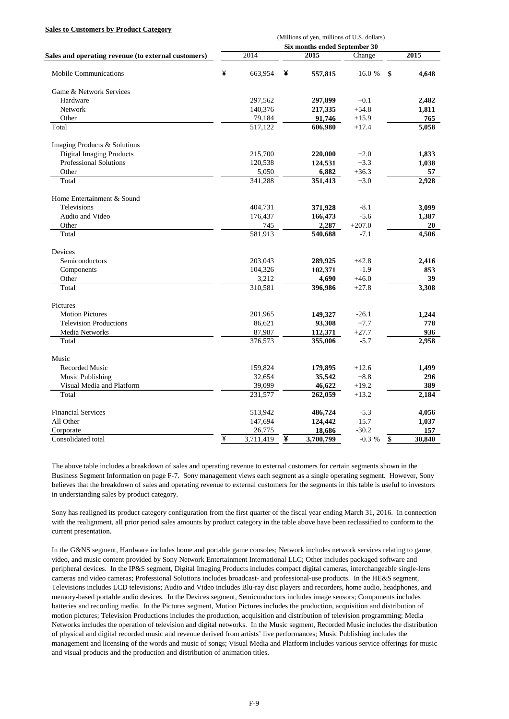#### **Sales to Customers by Product Category**

|                                                     | (Millions of yen, millions of U.S. dollars) |                      |   |           |          |    |        |  |  |
|-----------------------------------------------------|---------------------------------------------|----------------------|---|-----------|----------|----|--------|--|--|
|                                                     | Six months ended September 30               |                      |   |           |          |    |        |  |  |
| Sales and operating revenue (to external customers) |                                             | 2014                 |   | 2015      | Change   |    | 2015   |  |  |
| <b>Mobile Communications</b>                        | ¥                                           | 663.954              | ¥ | 557,815   | $-16.0%$ | \$ | 4,648  |  |  |
| Game & Network Services                             |                                             |                      |   |           |          |    |        |  |  |
| Hardware                                            |                                             | 297,562              |   | 297,899   | $+0.1$   |    | 2,482  |  |  |
| Network                                             |                                             | 140,376              |   | 217,335   | $+54.8$  |    | 1,811  |  |  |
| Other                                               |                                             | 79,184               |   | 91,746    | $+15.9$  |    | 765    |  |  |
| Total                                               |                                             | 517,122              |   | 606,980   | $+17.4$  |    | 5,058  |  |  |
| Imaging Products & Solutions                        |                                             |                      |   |           |          |    |        |  |  |
| <b>Digital Imaging Products</b>                     |                                             | 215,700              |   | 220,000   | $+2.0$   |    | 1,833  |  |  |
| <b>Professional Solutions</b>                       |                                             | 120,538              |   | 124,531   | $+3.3$   |    | 1,038  |  |  |
| Other                                               |                                             | 5,050                |   | 6,882     | $+36.3$  |    | 57     |  |  |
| Total                                               |                                             | 341,288              |   | 351,413   | $+3.0$   |    | 2,928  |  |  |
| Home Entertainment & Sound                          |                                             |                      |   |           |          |    |        |  |  |
| <b>Televisions</b>                                  |                                             | 404,731              |   | 371,928   | $-8.1$   |    | 3,099  |  |  |
| Audio and Video                                     |                                             | 176,437              |   | 166,473   | $-5.6$   |    | 1,387  |  |  |
| Other                                               |                                             | 745                  |   | 2,287     | $+207.0$ |    | 20     |  |  |
| Total                                               |                                             | $\overline{581,}913$ |   | 540,688   | $-7.1$   |    | 4,506  |  |  |
| Devices                                             |                                             |                      |   |           |          |    |        |  |  |
| Semiconductors                                      |                                             | 203,043              |   | 289,925   | $+42.8$  |    | 2,416  |  |  |
| Components                                          |                                             | 104,326              |   | 102,371   | $-1.9$   |    | 853    |  |  |
| Other                                               |                                             | 3,212                |   | 4,690     | $+46.0$  |    | 39     |  |  |
| Total                                               |                                             | 310,581              |   | 396,986   | $+27.8$  |    | 3,308  |  |  |
| Pictures                                            |                                             |                      |   |           |          |    |        |  |  |
| <b>Motion Pictures</b>                              |                                             | 201,965              |   | 149,327   | $-26.1$  |    | 1,244  |  |  |
| <b>Television Productions</b>                       |                                             | 86,621               |   | 93,308    | $+7.7$   |    | 778    |  |  |
| Media Networks                                      |                                             | 87,987               |   | 112,371   | $+27.7$  |    | 936    |  |  |
| Total                                               |                                             | 376,573              |   | 355,006   | $-5.7$   |    | 2,958  |  |  |
| Music                                               |                                             |                      |   |           |          |    |        |  |  |
| Recorded Music                                      |                                             | 159,824              |   | 179,895   | $+12.6$  |    | 1,499  |  |  |
| Music Publishing                                    |                                             | 32,654               |   | 35,542    | $+8.8$   |    | 296    |  |  |
| Visual Media and Platform                           |                                             | 39,099               |   | 46,622    | $+19.2$  |    | 389    |  |  |
| Total                                               |                                             | 231,577              |   | 262,059   | $+13.2$  |    | 2,184  |  |  |
| <b>Financial Services</b>                           |                                             | 513,942              |   | 486,724   | $-5.3$   |    | 4,056  |  |  |
| All Other                                           |                                             | 147,694              |   | 124,442   | $-15.7$  |    | 1,037  |  |  |
| Corporate                                           |                                             | 26,775               |   | 18,686    | $-30.2$  |    | 157    |  |  |
| Consolidated total                                  | ¥                                           | 3,711,419            | ¥ | 3,700,799 | $-0.3 %$ | \$ | 30,840 |  |  |

The above table includes a breakdown of sales and operating revenue to external customers for certain segments shown in the Business Segment Information on page F-7. Sony management views each segment as a single operating segment. However, Sony believes that the breakdown of sales and operating revenue to external customers for the segments in this table is useful to investors in understanding sales by product category.

Sony has realigned its product category configuration from the first quarter of the fiscal year ending March 31, 2016. In connection with the realignment, all prior period sales amounts by product category in the table above have been reclassified to conform to the current presentation.

In the G&NS segment, Hardware includes home and portable game consoles; Network includes network services relating to game, video, and music content provided by Sony Network Entertainment International LLC; Other includes packaged software and peripheral devices. In the IP&S segment, Digital Imaging Products includes compact digital cameras, interchangeable single-lens cameras and video cameras; Professional Solutions includes broadcast- and professional-use products. In the HE&S segment, Televisions includes LCD televisions; Audio and Video includes Blu-ray disc players and recorders, home audio, headphones, and memory-based portable audio devices. In the Devices segment, Semiconductors includes image sensors; Components includes batteries and recording media. In the Pictures segment, Motion Pictures includes the production, acquisition and distribution of motion pictures; Television Productions includes the production, acquisition and distribution of television programming; Media Networks includes the operation of television and digital networks. In the Music segment, Recorded Music includes the distribution of physical and digital recorded music and revenue derived from artists' live performances; Music Publishing includes the management and licensing of the words and music of songs; Visual Media and Platform includes various service offerings for music and visual products and the production and distribution of animation titles.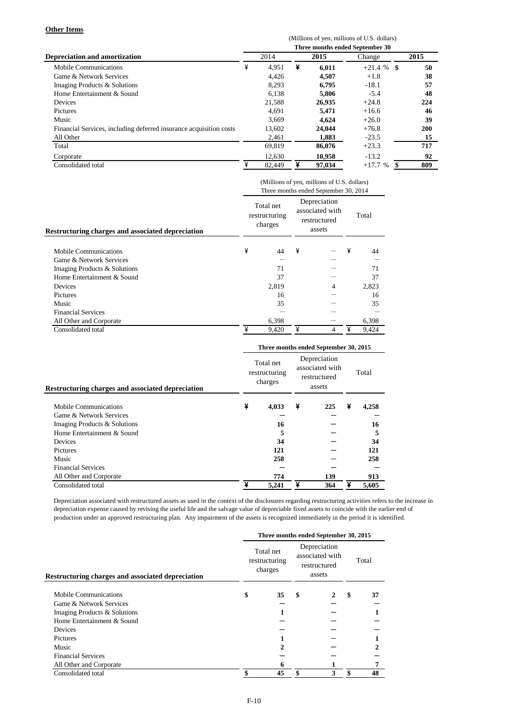#### **Other Items**

|                                                                    | (Millions of yen, millions of U.S. dollars) |                                 |   |        |             |      |  |  |  |  |
|--------------------------------------------------------------------|---------------------------------------------|---------------------------------|---|--------|-------------|------|--|--|--|--|
|                                                                    |                                             | Three months ended September 30 |   |        |             |      |  |  |  |  |
| <b>Depreciation and amortization</b>                               |                                             | 2014                            |   | 2015   | Change      | 2015 |  |  |  |  |
| <b>Mobile Communications</b>                                       | ¥                                           | 4.951                           | ¥ | 6,011  | $+21.4%$ \$ | 50   |  |  |  |  |
| Game & Network Services                                            |                                             | 4,426                           |   | 4,507  | $+1.8$      | 38   |  |  |  |  |
| Imaging Products & Solutions                                       |                                             | 8,293                           |   | 6,795  | $-18.1$     | 57   |  |  |  |  |
| Home Entertainment & Sound                                         |                                             | 6.138                           |   | 5.806  | $-5.4$      | 48   |  |  |  |  |
| <b>Devices</b>                                                     |                                             | 21,588                          |   | 26,935 | $+24.8$     | 224  |  |  |  |  |
| Pictures                                                           |                                             | 4.691                           |   | 5.471  | $+16.6$     | 46   |  |  |  |  |
| Music                                                              |                                             | 3,669                           |   | 4.624  | $+26.0$     | 39   |  |  |  |  |
| Financial Services, including deferred insurance acquisition costs |                                             | 13,602                          |   | 24,044 | $+76.8$     | 200  |  |  |  |  |
| All Other                                                          |                                             | 2,461                           |   | 1,883  | $-23.5$     | 15   |  |  |  |  |
| Total                                                              |                                             | 69.819                          |   | 86,076 | $+23.3$     | 717  |  |  |  |  |
| Corporate                                                          |                                             | 12,630                          |   | 10,958 | $-13.2$     | 92   |  |  |  |  |
| Consolidated total                                                 | ¥                                           | 82.449                          | ¥ | 97.034 | $+17.7%$    | 809  |  |  |  |  |

|                                                          | (Millions of yen, millions of U.S. dollars)<br>Three months ended September 30, 2014 |                                       |                                                           |   |   |       |  |  |  |
|----------------------------------------------------------|--------------------------------------------------------------------------------------|---------------------------------------|-----------------------------------------------------------|---|---|-------|--|--|--|
| <b>Restructuring charges and associated depreciation</b> |                                                                                      | Total net<br>restructuring<br>charges | Depreciation<br>associated with<br>restructured<br>assets |   |   | Total |  |  |  |
| Mobile Communications                                    | ¥                                                                                    | 44                                    | ¥                                                         |   | ¥ | 44    |  |  |  |
| Game & Network Services                                  |                                                                                      |                                       |                                                           |   |   |       |  |  |  |
| Imaging Products & Solutions                             |                                                                                      | 71                                    |                                                           |   |   | 71    |  |  |  |
| Home Entertainment & Sound                               |                                                                                      | 37                                    |                                                           |   |   | 37    |  |  |  |
| Devices                                                  |                                                                                      | 2,819                                 |                                                           | 4 |   | 2,823 |  |  |  |
| <b>Pictures</b>                                          |                                                                                      | 16                                    |                                                           |   |   | 16    |  |  |  |
| Music                                                    |                                                                                      | 35                                    |                                                           |   |   | 35    |  |  |  |
| <b>Financial Services</b>                                |                                                                                      |                                       |                                                           |   |   |       |  |  |  |
| All Other and Corporate                                  |                                                                                      | 6,398                                 |                                                           |   |   | 6,398 |  |  |  |
| Consolidated total                                       | ¥                                                                                    | 9,420                                 | ¥                                                         | 4 | ¥ | 9,424 |  |  |  |

|                                                   | Three months ended September 30, 2015 |                                       |                                                           |     |   |       |  |  |  |  |
|---------------------------------------------------|---------------------------------------|---------------------------------------|-----------------------------------------------------------|-----|---|-------|--|--|--|--|
| Restructuring charges and associated depreciation |                                       | Total net<br>restructuring<br>charges | Depreciation<br>associated with<br>restructured<br>assets |     |   | Total |  |  |  |  |
| Mobile Communications                             | ¥                                     | 4,033                                 | ¥                                                         | 225 | ¥ | 4,258 |  |  |  |  |
| Game & Network Services                           |                                       |                                       |                                                           |     |   |       |  |  |  |  |
| Imaging Products & Solutions                      |                                       | 16                                    |                                                           |     |   | 16    |  |  |  |  |
| Home Entertainment & Sound                        |                                       | 5                                     |                                                           |     |   | 5     |  |  |  |  |
| Devices                                           |                                       | 34                                    |                                                           |     |   | 34    |  |  |  |  |
| Pictures                                          |                                       | 121                                   |                                                           |     |   | 121   |  |  |  |  |
| Music                                             |                                       | 258                                   |                                                           |     |   | 258   |  |  |  |  |
| <b>Financial Services</b>                         |                                       |                                       |                                                           |     |   |       |  |  |  |  |
| All Other and Corporate                           |                                       | 774                                   |                                                           | 139 |   | 913   |  |  |  |  |
| Consolidated total                                | ¥                                     | 5,241                                 | ¥                                                         | 364 | ¥ | 5,605 |  |  |  |  |

Depreciation associated with restructured assets as used in the context of the disclosures regarding restructuring activities refers to the increase in depreciation expense caused by revising the useful life and the salvage value of depreciable fixed assets to coincide with the earlier end of production under an approved restructuring plan. Any impairment of the assets is recognized immediately in the period it is identified.

|                                                          | Three months ended September 30, 2015 |                                       |                                                           |   |    |               |  |  |  |  |
|----------------------------------------------------------|---------------------------------------|---------------------------------------|-----------------------------------------------------------|---|----|---------------|--|--|--|--|
| <b>Restructuring charges and associated depreciation</b> |                                       | Total net<br>restructuring<br>charges | Depreciation<br>associated with<br>restructured<br>assets |   |    | Total         |  |  |  |  |
| Mobile Communications                                    | \$                                    | 35                                    | \$                                                        | 2 | \$ | 37            |  |  |  |  |
| Game & Network Services                                  |                                       |                                       |                                                           |   |    |               |  |  |  |  |
| Imaging Products & Solutions                             |                                       |                                       |                                                           |   |    |               |  |  |  |  |
| Home Entertainment & Sound                               |                                       |                                       |                                                           |   |    |               |  |  |  |  |
| Devices                                                  |                                       |                                       |                                                           |   |    |               |  |  |  |  |
| <b>Pictures</b>                                          |                                       |                                       |                                                           |   |    |               |  |  |  |  |
| Music                                                    |                                       |                                       |                                                           |   |    | $\mathcal{D}$ |  |  |  |  |
| <b>Financial Services</b>                                |                                       |                                       |                                                           |   |    |               |  |  |  |  |
| All Other and Corporate                                  |                                       | 6                                     |                                                           |   |    | 7             |  |  |  |  |
| Consolidated total                                       |                                       | 45                                    |                                                           |   |    | 48            |  |  |  |  |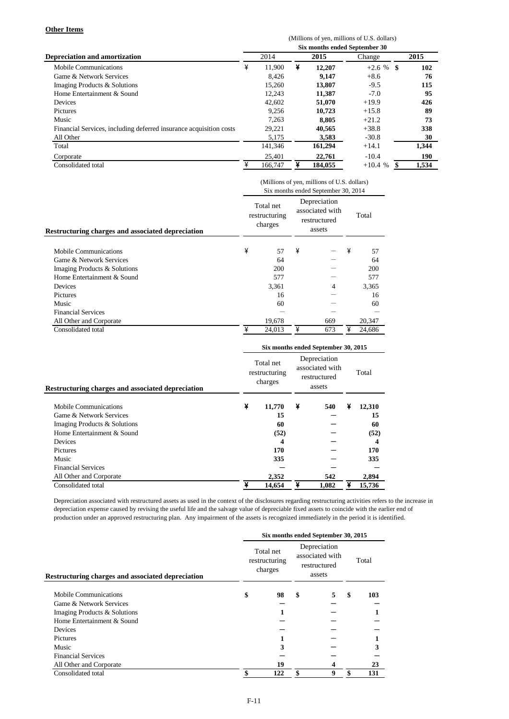#### **Other Items**

|                                                                    | (Millions of yen, millions of U.S. dollars) |         |      |         |              |       |  |  |  |  |  |
|--------------------------------------------------------------------|---------------------------------------------|---------|------|---------|--------------|-------|--|--|--|--|--|
|                                                                    | Six months ended September 30               |         |      |         |              |       |  |  |  |  |  |
| <b>Depreciation and amortization</b>                               |                                             | 2014    | 2015 |         | Change       | 2015  |  |  |  |  |  |
| <b>Mobile Communications</b>                                       | ¥                                           | 11.900  | ¥    | 12,207  | $+2.6 \%$ \$ | 102   |  |  |  |  |  |
| Game & Network Services                                            |                                             | 8.426   |      | 9,147   | $+8.6$       | 76    |  |  |  |  |  |
| Imaging Products & Solutions                                       |                                             | 15,260  |      | 13,807  | $-9.5$       | 115   |  |  |  |  |  |
| Home Entertainment & Sound                                         |                                             | 12.243  |      | 11,387  | $-7.0$       | 95    |  |  |  |  |  |
| <b>Devices</b>                                                     |                                             | 42,602  |      | 51,070  | $+19.9$      | 426   |  |  |  |  |  |
| Pictures                                                           |                                             | 9,256   |      | 10.723  | $+15.8$      | 89    |  |  |  |  |  |
| Music                                                              |                                             | 7,263   |      | 8.805   | $+21.2$      | 73    |  |  |  |  |  |
| Financial Services, including deferred insurance acquisition costs |                                             | 29,221  |      | 40,565  | $+38.8$      | 338   |  |  |  |  |  |
| All Other                                                          |                                             | 5,175   |      | 3,583   | $-30.8$      | 30    |  |  |  |  |  |
| Total                                                              |                                             | 141.346 |      | 161,294 | $+14.1$      | 1,344 |  |  |  |  |  |
| Corporate                                                          |                                             | 25,401  |      | 22,761  | $-10.4$      | 190   |  |  |  |  |  |
| Consolidated total                                                 | ¥                                           | 166,747 | ¥    | 184,055 | $+10.4%$     | 1.534 |  |  |  |  |  |

|                                                          | (Millions of yen, millions of U.S. dollars)<br>Six months ended September 30, 2014 |                                       |   |                                                           |   |        |  |  |  |
|----------------------------------------------------------|------------------------------------------------------------------------------------|---------------------------------------|---|-----------------------------------------------------------|---|--------|--|--|--|
| <b>Restructuring charges and associated depreciation</b> |                                                                                    | Total net<br>restructuring<br>charges |   | Depreciation<br>associated with<br>restructured<br>assets |   | Total  |  |  |  |
| Mobile Communications                                    | ¥                                                                                  | 57                                    | ¥ |                                                           | ¥ | 57     |  |  |  |
| Game & Network Services                                  |                                                                                    | 64                                    |   |                                                           |   | 64     |  |  |  |
| Imaging Products & Solutions                             |                                                                                    | 200                                   |   |                                                           |   | 200    |  |  |  |
| Home Entertainment & Sound                               |                                                                                    | 577                                   |   |                                                           |   | 577    |  |  |  |
| Devices                                                  |                                                                                    | 3,361                                 |   | 4                                                         |   | 3.365  |  |  |  |
| Pictures                                                 |                                                                                    | 16                                    |   |                                                           |   | 16     |  |  |  |
| Music                                                    |                                                                                    | 60                                    |   |                                                           |   | 60     |  |  |  |
| <b>Financial Services</b>                                |                                                                                    |                                       |   |                                                           |   |        |  |  |  |
| All Other and Corporate                                  |                                                                                    | 19,678                                |   | 669                                                       |   | 20,347 |  |  |  |
| Consolidated total                                       | ¥                                                                                  | 24.013                                | ¥ | 673                                                       | ¥ | 24.686 |  |  |  |

|                                                   | Six months ended September 30, 2015 |                                       |                                                           |       |   |        |  |  |  |  |
|---------------------------------------------------|-------------------------------------|---------------------------------------|-----------------------------------------------------------|-------|---|--------|--|--|--|--|
| Restructuring charges and associated depreciation |                                     | Total net<br>restructuring<br>charges | Depreciation<br>associated with<br>restructured<br>assets |       |   | Total  |  |  |  |  |
| Mobile Communications                             | ¥                                   | 11,770                                | ¥                                                         | 540   | ¥ | 12,310 |  |  |  |  |
| Game & Network Services                           |                                     | 15                                    |                                                           |       |   | 15     |  |  |  |  |
| Imaging Products & Solutions                      |                                     | 60                                    |                                                           |       |   | 60     |  |  |  |  |
| Home Entertainment & Sound                        |                                     | (52)                                  |                                                           |       |   | (52)   |  |  |  |  |
| <b>Devices</b>                                    |                                     | 4                                     |                                                           |       |   | 4      |  |  |  |  |
| Pictures                                          |                                     | 170                                   |                                                           |       |   | 170    |  |  |  |  |
| Music                                             |                                     | 335                                   |                                                           |       |   | 335    |  |  |  |  |
| <b>Financial Services</b>                         |                                     |                                       |                                                           |       |   |        |  |  |  |  |
| All Other and Corporate                           |                                     | 2,352                                 |                                                           | 542   |   | 2,894  |  |  |  |  |
| Consolidated total                                | ¥                                   | 14.654                                | ¥                                                         | 1.082 | ¥ | 15,736 |  |  |  |  |

Depreciation associated with restructured assets as used in the context of the disclosures regarding restructuring activities refers to the increase in depreciation expense caused by revising the useful life and the salvage value of depreciable fixed assets to coincide with the earlier end of production under an approved restructuring plan. Any impairment of the assets is recognized immediately in the period it is identified.

|                                                          | Six months ended September 30, 2015 |                                       |    |                                                           |    |       |  |  |  |
|----------------------------------------------------------|-------------------------------------|---------------------------------------|----|-----------------------------------------------------------|----|-------|--|--|--|
| <b>Restructuring charges and associated depreciation</b> |                                     | Total net<br>restructuring<br>charges |    | Depreciation<br>associated with<br>restructured<br>assets |    | Total |  |  |  |
| Mobile Communications                                    | \$                                  | 98                                    | \$ | 5                                                         | \$ | 103   |  |  |  |
| Game & Network Services                                  |                                     |                                       |    |                                                           |    |       |  |  |  |
| Imaging Products & Solutions                             |                                     |                                       |    |                                                           |    |       |  |  |  |
| Home Entertainment & Sound                               |                                     |                                       |    |                                                           |    |       |  |  |  |
| Devices                                                  |                                     |                                       |    |                                                           |    |       |  |  |  |
| Pictures                                                 |                                     |                                       |    |                                                           |    |       |  |  |  |
| Music                                                    |                                     |                                       |    |                                                           |    | 3     |  |  |  |
| <b>Financial Services</b>                                |                                     |                                       |    |                                                           |    |       |  |  |  |
| All Other and Corporate                                  |                                     | 19                                    |    |                                                           |    | 23    |  |  |  |
| Consolidated total                                       |                                     | 122                                   |    | 9                                                         |    | 131   |  |  |  |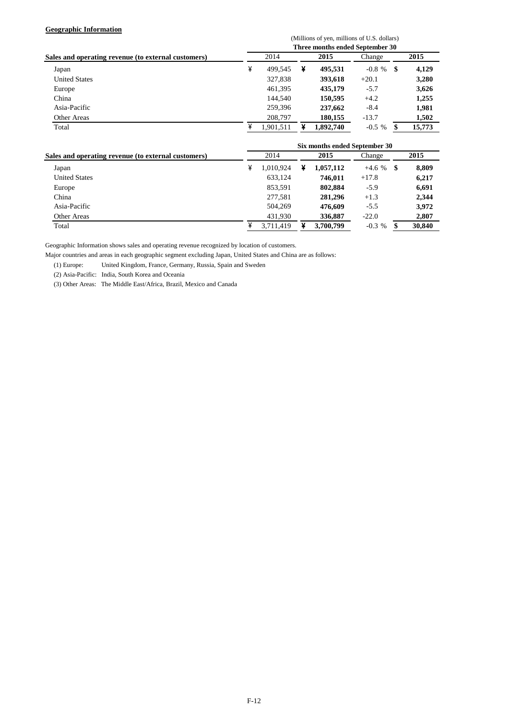### **Geographic Information**

|                                                     | (Millions of yen, millions of U.S. dollars) |           |   |           |           |     |        |  |  |  |  |
|-----------------------------------------------------|---------------------------------------------|-----------|---|-----------|-----------|-----|--------|--|--|--|--|
|                                                     | Three months ended September 30             |           |   |           |           |     |        |  |  |  |  |
| Sales and operating revenue (to external customers) | 2014                                        |           |   | 2015      | Change    |     | 2015   |  |  |  |  |
| Japan                                               | ¥                                           | 499.545   | ¥ | 495,531   | $-0.8 \%$ | S   | 4,129  |  |  |  |  |
| <b>United States</b>                                |                                             | 327,838   |   | 393,618   | $+20.1$   |     | 3,280  |  |  |  |  |
| Europe                                              |                                             | 461,395   |   | 435,179   | $-5.7$    |     | 3,626  |  |  |  |  |
| China                                               |                                             | 144.540   |   | 150,595   | $+4.2$    |     | 1,255  |  |  |  |  |
| Asia-Pacific                                        |                                             | 259.396   |   | 237,662   | $-8.4$    |     | 1,981  |  |  |  |  |
| Other Areas                                         |                                             | 208,797   |   | 180,155   | $-13.7$   |     | 1,502  |  |  |  |  |
| Total                                               | ¥                                           | 1.901.511 |   | 1,892,740 | $-0.5\%$  | \$. | 15,773 |  |  |  |  |

|                                                     | Six months ended September 30 |           |   |           |          |    |        |  |  |  |  |
|-----------------------------------------------------|-------------------------------|-----------|---|-----------|----------|----|--------|--|--|--|--|
| Sales and operating revenue (to external customers) |                               | 2014      |   | 2015      | Change   |    | 2015   |  |  |  |  |
| Japan                                               | ¥                             | 1.010.924 | ¥ | 1,057,112 | $+4.6%$  | -8 | 8,809  |  |  |  |  |
| <b>United States</b>                                |                               | 633,124   |   | 746.011   | $+17.8$  |    | 6,217  |  |  |  |  |
| Europe                                              |                               | 853,591   |   | 802,884   | $-5.9$   |    | 6,691  |  |  |  |  |
| China                                               |                               | 277.581   |   | 281,296   | $+1.3$   |    | 2,344  |  |  |  |  |
| Asia-Pacific                                        |                               | 504.269   |   | 476.609   | $-5.5$   |    | 3,972  |  |  |  |  |
| Other Areas                                         |                               | 431.930   |   | 336,887   | $-22.0$  |    | 2,807  |  |  |  |  |
| Total                                               |                               | 3,711,419 |   | 3,700,799 | $-0.3 %$ |    | 30,840 |  |  |  |  |

Geographic Information shows sales and operating revenue recognized by location of customers.

Major countries and areas in each geographic segment excluding Japan, United States and China are as follows:

(1) Europe: United Kingdom, France, Germany, Russia, Spain and Sweden

(2) Asia-Pacific: India, South Korea and Oceania

(3) Other Areas: The Middle East/Africa, Brazil, Mexico and Canada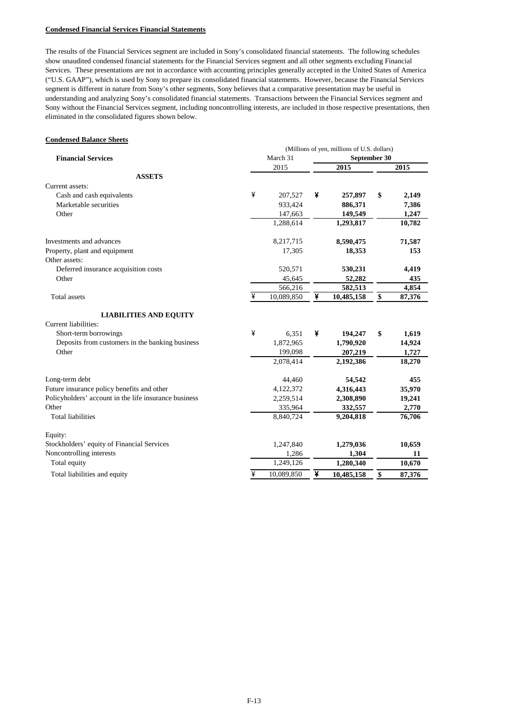#### **Condensed Financial Services Financial Statements**

The results of the Financial Services segment are included in Sony's consolidated financial statements. The following schedules show unaudited condensed financial statements for the Financial Services segment and all other segments excluding Financial Services. These presentations are not in accordance with accounting principles generally accepted in the United States of America ("U.S. GAAP"), which is used by Sony to prepare its consolidated financial statements. However, because the Financial Services segment is different in nature from Sony's other segments, Sony believes that a comparative presentation may be useful in understanding and analyzing Sony's consolidated financial statements. Transactions between the Financial Services segment and Sony without the Financial Services segment, including noncontrolling interests, are included in those respective presentations, then eliminated in the consolidated figures shown below.

#### **Condensed Balance Sheets**

|                                                       | (Millions of yen, millions of U.S. dollars) |            |   |              |    |        |  |  |  |
|-------------------------------------------------------|---------------------------------------------|------------|---|--------------|----|--------|--|--|--|
| <b>Financial Services</b>                             |                                             | March 31   |   | September 30 |    |        |  |  |  |
|                                                       |                                             | 2015       |   | 2015         |    | 2015   |  |  |  |
| <b>ASSETS</b>                                         |                                             |            |   |              |    |        |  |  |  |
| Current assets:                                       |                                             |            |   |              |    |        |  |  |  |
| Cash and cash equivalents                             | ¥                                           | 207,527    | ¥ | 257,897      | \$ | 2,149  |  |  |  |
| Marketable securities                                 |                                             | 933,424    |   | 886,371      |    | 7,386  |  |  |  |
| Other                                                 |                                             | 147,663    |   | 149,549      |    | 1,247  |  |  |  |
|                                                       |                                             | 1,288,614  |   | 1,293,817    |    | 10,782 |  |  |  |
| Investments and advances                              |                                             | 8,217,715  |   | 8,590,475    |    | 71,587 |  |  |  |
| Property, plant and equipment                         |                                             | 17,305     |   | 18,353       |    | 153    |  |  |  |
| Other assets:                                         |                                             |            |   |              |    |        |  |  |  |
| Deferred insurance acquisition costs                  |                                             | 520,571    |   | 530,231      |    | 4,419  |  |  |  |
| Other                                                 |                                             | 45,645     |   | 52,282       |    | 435    |  |  |  |
|                                                       |                                             | 566,216    |   | 582,513      |    | 4,854  |  |  |  |
| Total assets                                          | ¥                                           | 10,089,850 | ¥ | 10,485,158   | \$ | 87,376 |  |  |  |
| <b>LIABILITIES AND EQUITY</b>                         |                                             |            |   |              |    |        |  |  |  |
| Current liabilities:                                  |                                             |            |   |              |    |        |  |  |  |
| Short-term borrowings                                 | ¥                                           | 6,351      | ¥ | 194,247      | \$ | 1,619  |  |  |  |
| Deposits from customers in the banking business       |                                             | 1,872,965  |   | 1,790,920    |    | 14,924 |  |  |  |
| Other                                                 |                                             | 199,098    |   | 207,219      |    | 1,727  |  |  |  |
|                                                       |                                             | 2,078,414  |   | 2,192,386    |    | 18,270 |  |  |  |
| Long-term debt                                        |                                             | 44,460     |   | 54,542       |    | 455    |  |  |  |
| Future insurance policy benefits and other            |                                             | 4,122,372  |   | 4,316,443    |    | 35,970 |  |  |  |
| Policyholders' account in the life insurance business |                                             | 2,259,514  |   | 2,308,890    |    | 19,241 |  |  |  |
| Other                                                 |                                             | 335,964    |   | 332,557      |    | 2,770  |  |  |  |
| <b>Total liabilities</b>                              |                                             | 8,840,724  |   | 9,204,818    |    | 76,706 |  |  |  |
| Equity:                                               |                                             |            |   |              |    |        |  |  |  |
| Stockholders' equity of Financial Services            |                                             | 1,247,840  |   | 1,279,036    |    | 10,659 |  |  |  |
| Noncontrolling interests                              |                                             | 1,286      |   | 1,304        |    | 11     |  |  |  |
| Total equity                                          |                                             | 1,249,126  |   | 1,280,340    |    | 10,670 |  |  |  |
| Total liabilities and equity                          | ¥                                           | 10,089,850 | ¥ | 10,485,158   | \$ | 87,376 |  |  |  |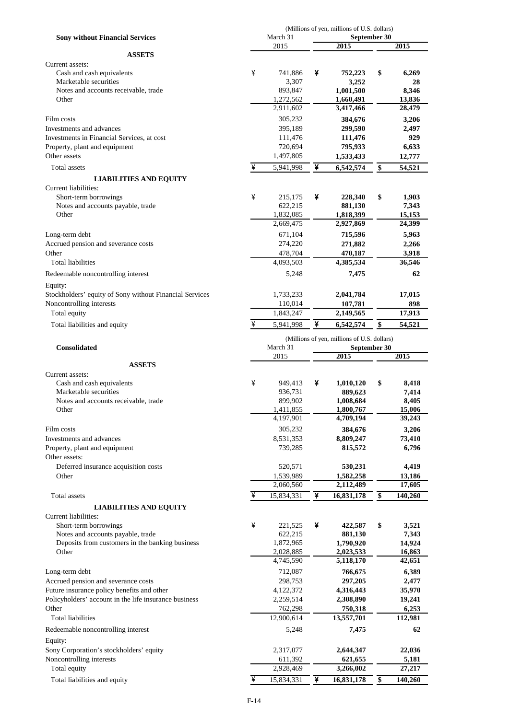|                                                                                      |   |                        |   | (Millions of yen, millions of U.S. dollars) |                  |
|--------------------------------------------------------------------------------------|---|------------------------|---|---------------------------------------------|------------------|
| <b>Sony without Financial Services</b>                                               |   | March 31               |   | September 30                                |                  |
| <b>ASSETS</b>                                                                        |   | 2015                   |   | 2015                                        | 2015             |
| Current assets:                                                                      |   |                        |   |                                             |                  |
| Cash and cash equivalents                                                            | ¥ | 741,886                | ¥ | 752,223                                     | \$<br>6,269      |
| Marketable securities                                                                |   | 3,307                  |   | 3,252                                       | 28               |
| Notes and accounts receivable, trade                                                 |   | 893,847                |   | 1,001,500                                   | 8,346            |
| Other                                                                                |   | 1,272,562              |   | 1,660,491                                   | 13,836           |
|                                                                                      |   | 2,911,602              |   | 3,417,466                                   | 28,479           |
| Film costs                                                                           |   | 305,232                |   | 384,676                                     | 3,206            |
| Investments and advances                                                             |   | 395,189                |   | 299,590                                     | 2,497            |
| Investments in Financial Services, at cost                                           |   | 111,476                |   | 111,476                                     | 929              |
| Property, plant and equipment                                                        |   | 720,694                |   | 795,933                                     | 6,633            |
| Other assets                                                                         |   | 1,497,805              |   | 1,533,433                                   | 12,777           |
| Total assets                                                                         | ¥ | 5,941,998              | ¥ | 6,542,574                                   | \$<br>54,521     |
| <b>LIABILITIES AND EQUITY</b>                                                        |   |                        |   |                                             |                  |
| Current liabilities:                                                                 |   |                        |   |                                             |                  |
| Short-term borrowings                                                                | ¥ | 215,175                | ¥ | 228,340                                     | \$<br>1,903      |
| Notes and accounts payable, trade                                                    |   | 622,215                |   | 881,130                                     | 7,343            |
| Other                                                                                |   | 1,832,085<br>2,669,475 |   | 1,818,399<br>2,927,869                      | 15,153           |
|                                                                                      |   |                        |   |                                             | 24,399           |
| Long-term debt                                                                       |   | 671,104                |   | 715,596                                     | 5,963            |
| Accrued pension and severance costs                                                  |   | 274,220                |   | 271,882                                     | 2,266            |
| Other<br><b>Total liabilities</b>                                                    |   | 478,704<br>4,093,503   |   | 470,187<br>4,385,534                        | 3,918<br>36,546  |
|                                                                                      |   |                        |   |                                             |                  |
| Redeemable noncontrolling interest                                                   |   | 5,248                  |   | 7,475                                       | 62               |
| Equity:                                                                              |   |                        |   |                                             |                  |
| Stockholders' equity of Sony without Financial Services                              |   | 1,733,233              |   | 2,041,784                                   | 17,015           |
| Noncontrolling interests                                                             |   | 110,014                |   | 107,781                                     | 898              |
| Total equity                                                                         |   | 1,843,247              |   | 2,149,565                                   | 17,913           |
| Total liabilities and equity                                                         | ¥ | 5,941,998              | ¥ | 6,542,574                                   | \$<br>54,521     |
|                                                                                      |   |                        |   | (Millions of yen, millions of U.S. dollars) |                  |
| <b>Consolidated</b>                                                                  |   | March 31               |   | September 30                                |                  |
|                                                                                      |   | 2015                   |   | 2015                                        | 2015             |
| <b>ASSETS</b>                                                                        |   |                        |   |                                             |                  |
| Current assets:                                                                      |   |                        |   |                                             |                  |
| Cash and cash equivalents                                                            | ¥ | 949,413                | ¥ | 1,010,120                                   | \$<br>8,418      |
| Marketable securities                                                                |   | 936,731                |   | 889,623                                     | 7,414            |
| Notes and accounts receivable, trade                                                 |   | 899,902                |   | 1,008,684                                   | 8,405            |
| Other                                                                                |   | 1,411,855<br>4,197,901 |   | 1,800,767<br>4,709,194                      | 15,006<br>39,243 |
|                                                                                      |   | 305,232                |   |                                             |                  |
| Film costs<br>Investments and advances                                               |   |                        |   | 384,676                                     | 3,206            |
| Property, plant and equipment                                                        |   | 8,531,353<br>739,285   |   | 8,809,247<br>815,572                        | 73,410<br>6,796  |
| Other assets:                                                                        |   |                        |   |                                             |                  |
| Deferred insurance acquisition costs                                                 |   | 520,571                |   | 530,231                                     | 4,419            |
| Other                                                                                |   | 1,539,989              |   | 1,582,258                                   | 13,186           |
|                                                                                      |   |                        |   |                                             | 17,605           |
| Total assets                                                                         |   |                        |   |                                             |                  |
|                                                                                      |   | 2,060,560              |   | 2,112,489                                   |                  |
|                                                                                      | ¥ | 15,834,331             | ¥ | 16,831,178                                  | \$<br>140,260    |
| <b>LIABILITIES AND EQUITY</b>                                                        |   |                        |   |                                             |                  |
| Current liabilities:                                                                 |   |                        |   |                                             |                  |
| Short-term borrowings                                                                | ¥ | 221,525                | ¥ | 422,587                                     | \$<br>3,521      |
| Notes and accounts payable, trade<br>Deposits from customers in the banking business |   | 622,215<br>1,872,965   |   | 881,130<br>1,790,920                        | 7,343<br>14,924  |
| Other                                                                                |   | 2,028,885              |   | 2,023,533                                   | 16,863           |
|                                                                                      |   | 4,745,590              |   | 5,118,170                                   | 42,651           |
| Long-term debt                                                                       |   | 712,087                |   | 766,675                                     | 6,389            |
| Accrued pension and severance costs                                                  |   | 298,753                |   | 297,205                                     | 2,477            |
| Future insurance policy benefits and other                                           |   | 4,122,372              |   | 4,316,443                                   | 35,970           |
| Policyholders' account in the life insurance business                                |   | 2,259,514              |   | 2,308,890                                   | 19,241           |
| Other                                                                                |   | 762,298                |   | 750,318                                     | 6,253            |
| Total liabilities                                                                    |   | 12,900,614             |   | 13,557,701                                  | 112,981          |
| Redeemable noncontrolling interest                                                   |   | 5,248                  |   | 7,475                                       | 62               |
| Equity:                                                                              |   |                        |   |                                             |                  |
| Sony Corporation's stockholders' equity                                              |   | 2,317,077              |   | 2,644,347                                   | 22,036           |
| Noncontrolling interests                                                             |   | 611,392                |   | 621,655                                     | 5,181            |
| Total equity                                                                         |   | 2,928,469              |   | 3,266,002                                   | 27,217           |
| Total liabilities and equity                                                         | ¥ | 15,834,331             | ¥ | 16,831,178                                  | \$<br>140,260    |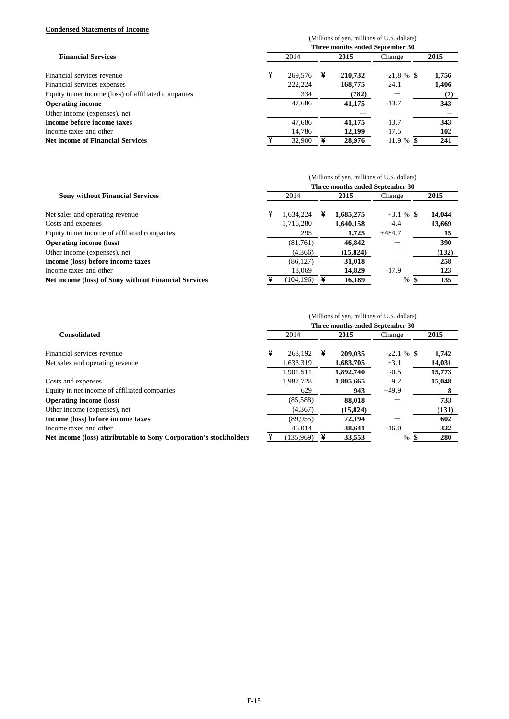### **Condensed Statements of Income**

|                                                     | (Millions of yen, millions of U.S. dollars) |         |   |         |               |       |  |  |  |  |
|-----------------------------------------------------|---------------------------------------------|---------|---|---------|---------------|-------|--|--|--|--|
|                                                     |                                             |         |   |         |               |       |  |  |  |  |
|                                                     | Three months ended September 30             |         |   |         |               |       |  |  |  |  |
| <b>Financial Services</b>                           |                                             | 2014    |   | 2015    | Change        | 2015  |  |  |  |  |
| Financial services revenue                          | ¥                                           | 269,576 | ¥ | 210,732 | $-21.8 \%$ \$ | 1,756 |  |  |  |  |
| Financial services expenses                         |                                             | 222.224 |   | 168,775 | $-24.1$       | 1,406 |  |  |  |  |
| Equity in net income (loss) of affiliated companies |                                             | 334     |   | (782)   |               | (7)   |  |  |  |  |
| <b>Operating income</b>                             |                                             | 47,686  |   | 41,175  | $-13.7$       | 343   |  |  |  |  |
| Other income (expenses), net                        |                                             |         |   |         |               |       |  |  |  |  |
| Income before income taxes                          |                                             | 47.686  |   | 41,175  | $-13.7$       | 343   |  |  |  |  |
| Income taxes and other                              |                                             | 14.786  |   | 12,199  | $-17.5$       | 102   |  |  |  |  |
| <b>Net income of Financial Services</b>             |                                             | 32,900  |   | 28.976  | $-11.9 \%$ \$ | 241   |  |  |  |  |

|                                                             | (Millions of yen, millions of U.S. dollars) |           |  |           |                                 |        |  |  |  |  |
|-------------------------------------------------------------|---------------------------------------------|-----------|--|-----------|---------------------------------|--------|--|--|--|--|
|                                                             |                                             |           |  |           | Three months ended September 30 |        |  |  |  |  |
| <b>Sony without Financial Services</b>                      |                                             | 2014      |  | 2015      | Change                          | 2015   |  |  |  |  |
| Net sales and operating revenue                             | ¥                                           | 1.634.224 |  | 1,685,275 | $+3.1\%$ \$                     | 14,044 |  |  |  |  |
| Costs and expenses                                          |                                             | 1,716,280 |  | 1,640,158 | $-4.4$                          | 13,669 |  |  |  |  |
| Equity in net income of affiliated companies                |                                             | 295       |  | 1.725     | $+484.7$                        | 15     |  |  |  |  |
| <b>Operating income (loss)</b>                              |                                             | (81,761)  |  | 46,842    |                                 | 390    |  |  |  |  |
| Other income (expenses), net                                |                                             | (4,366)   |  | (15, 824) |                                 | (132)  |  |  |  |  |
| Income (loss) before income taxes                           |                                             | (86, 127) |  | 31,018    |                                 | 258    |  |  |  |  |
| Income taxes and other                                      |                                             | 18,069    |  | 14,829    | $-17.9$                         | 123    |  |  |  |  |
| <b>Net income (loss) of Sony without Financial Services</b> |                                             | (104.196) |  | 16.189    | $\%$                            | 135    |  |  |  |  |

|                                                                   | (Millions of yen, millions of U.S. dollars) |           |   |           |               |        |  |  |  |  |
|-------------------------------------------------------------------|---------------------------------------------|-----------|---|-----------|---------------|--------|--|--|--|--|
|                                                                   | Three months ended September 30             |           |   |           |               |        |  |  |  |  |
| <b>Consolidated</b>                                               |                                             | 2014      |   | 2015      | Change        | 2015   |  |  |  |  |
| Financial services revenue                                        | ¥                                           | 268.192   | ¥ | 209,035   | $-22.1 \%$ \$ | 1,742  |  |  |  |  |
| Net sales and operating revenue.                                  |                                             | 1,633,319 |   | 1,683,705 | $+3.1$        | 14,031 |  |  |  |  |
|                                                                   |                                             | 1.901.511 |   | 1.892.740 | $-0.5$        | 15,773 |  |  |  |  |
| Costs and expenses                                                |                                             | 1,987,728 |   | 1,805,665 | $-9.2$        | 15,048 |  |  |  |  |
| Equity in net income of affiliated companies                      |                                             | 629       |   | 943       | $+49.9$       |        |  |  |  |  |
| <b>Operating income (loss)</b>                                    |                                             | (85,588)  |   | 88,018    |               | 733    |  |  |  |  |
| Other income (expenses), net                                      |                                             | (4,367)   |   | (15, 824) |               | (131)  |  |  |  |  |
| Income (loss) before income taxes                                 |                                             | (89,955)  |   | 72,194    |               | 602    |  |  |  |  |
| Income taxes and other                                            |                                             | 46,014    |   | 38,641    | $-16.0$       | 322    |  |  |  |  |
| Net income (loss) attributable to Sony Corporation's stockholders |                                             | (135,969) |   | 33,553    | %<br>—        | 280    |  |  |  |  |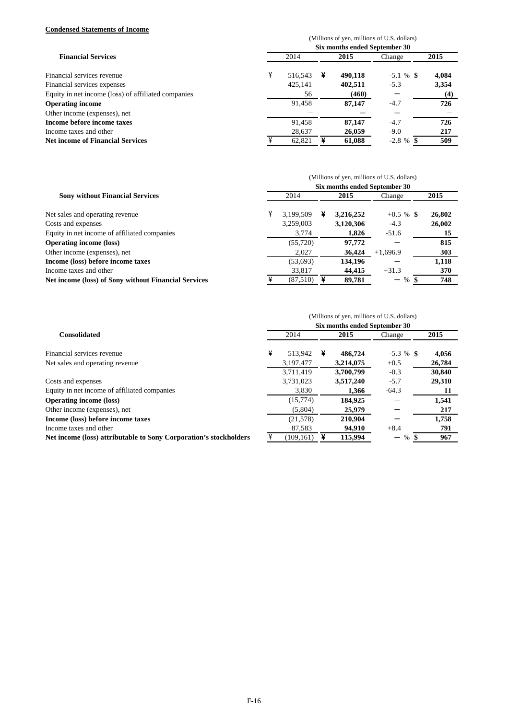### **Condensed Statements of Income**

|                                                     | (Millions of yen, millions of U.S. dollars) |         |   |         |              |       |  |  |  |
|-----------------------------------------------------|---------------------------------------------|---------|---|---------|--------------|-------|--|--|--|
| <b>Financial Services</b>                           | Six months ended September 30               |         |   |         |              |       |  |  |  |
|                                                     |                                             | 2014    |   |         | Change       | 2015  |  |  |  |
| Financial services revenue                          | ¥                                           | 516.543 | ¥ | 490.118 | $-5.1 \%$ \$ | 4,084 |  |  |  |
| Financial services expenses                         |                                             | 425,141 |   | 402,511 | $-5.3$       | 3,354 |  |  |  |
| Equity in net income (loss) of affiliated companies |                                             | 56      |   | (460)   |              | (4)   |  |  |  |
| <b>Operating income</b>                             |                                             | 91,458  |   | 87,147  | $-4.7$       | 726   |  |  |  |
| Other income (expenses), net                        |                                             |         |   |         |              |       |  |  |  |
| Income before income taxes                          |                                             | 91.458  |   | 87,147  | $-4.7$       | 726   |  |  |  |
| Income taxes and other                              |                                             | 28,637  |   | 26,059  | $-9.0$       | 217   |  |  |  |
| <b>Net income of Financial Services</b>             |                                             | 62.821  |   | 61.088  | $-2.8 \%$ \$ | 509   |  |  |  |

|                                                             | (Millions of yen, millions of U.S. dollars) |           |   |           |              |        |  |  |  |  |
|-------------------------------------------------------------|---------------------------------------------|-----------|---|-----------|--------------|--------|--|--|--|--|
| <b>Sony without Financial Services</b>                      | Six months ended September 30               |           |   |           |              |        |  |  |  |  |
|                                                             |                                             | 2014      |   | 2015      | Change       | 2015   |  |  |  |  |
| Net sales and operating revenue                             | ¥                                           | 3.199.509 | ¥ | 3,216,252 | $+0.5 \%$ \$ | 26,802 |  |  |  |  |
| Costs and expenses                                          |                                             | 3,259,003 |   | 3,120,306 | $-4.3$       | 26,002 |  |  |  |  |
| Equity in net income of affiliated companies                |                                             | 3.774     |   | 1,826     | $-51.6$      | 15     |  |  |  |  |
| <b>Operating income (loss)</b>                              |                                             | (55, 720) |   | 97,772    |              | 815    |  |  |  |  |
| Other income (expenses), net                                |                                             | 2.027     |   | 36,424    | $+1,696.9$   | 303    |  |  |  |  |
| Income (loss) before income taxes                           |                                             | (53, 693) |   | 134,196   |              | 1,118  |  |  |  |  |
| Income taxes and other                                      |                                             | 33,817    |   | 44,415    | $+31.3$      | 370    |  |  |  |  |
| <b>Net income (loss) of Sony without Financial Services</b> |                                             | (87,510)  |   | 89.781    | %<br>—       | 748    |  |  |  |  |

|                                                                   |                               | (Millions of yen, millions of U.S. dollars) |   |           |                         |        |  |  |  |  |  |
|-------------------------------------------------------------------|-------------------------------|---------------------------------------------|---|-----------|-------------------------|--------|--|--|--|--|--|
| <b>Consolidated</b>                                               | Six months ended September 30 |                                             |   |           |                         |        |  |  |  |  |  |
|                                                                   |                               | 2014                                        |   | 2015      | Change                  | 2015   |  |  |  |  |  |
| Financial services revenue                                        | ¥                             | 513.942                                     | ¥ | 486,724   | $-5.3 \%$ \$            | 4,056  |  |  |  |  |  |
| Net sales and operating revenue                                   |                               | 3,197,477                                   |   | 3,214,075 | $+0.5$                  | 26,784 |  |  |  |  |  |
|                                                                   |                               | 3.711.419                                   |   | 3,700,799 | $-0.3$                  | 30,840 |  |  |  |  |  |
| Costs and expenses                                                |                               | 3,731,023                                   |   | 3,517,240 | $-5.7$                  | 29,310 |  |  |  |  |  |
| Equity in net income of affiliated companies                      |                               | 3,830                                       |   | 1,366     | $-64.3$                 | 11     |  |  |  |  |  |
| <b>Operating income (loss)</b>                                    |                               | (15,774)                                    |   | 184.925   |                         | 1,541  |  |  |  |  |  |
| Other income (expenses), net                                      |                               | (5,804)                                     |   | 25,979    |                         | 217    |  |  |  |  |  |
| Income (loss) before income taxes                                 |                               | (21,578)                                    |   | 210,904   |                         | 1,758  |  |  |  |  |  |
| Income taxes and other                                            |                               | 87,583                                      |   | 94,910    | $+8.4$                  | 791    |  |  |  |  |  |
| Net income (loss) attributable to Sony Corporation's stockholders | ¥                             | (109, 161)                                  |   | 115.994   | $\%$<br>$\qquad \qquad$ | 967    |  |  |  |  |  |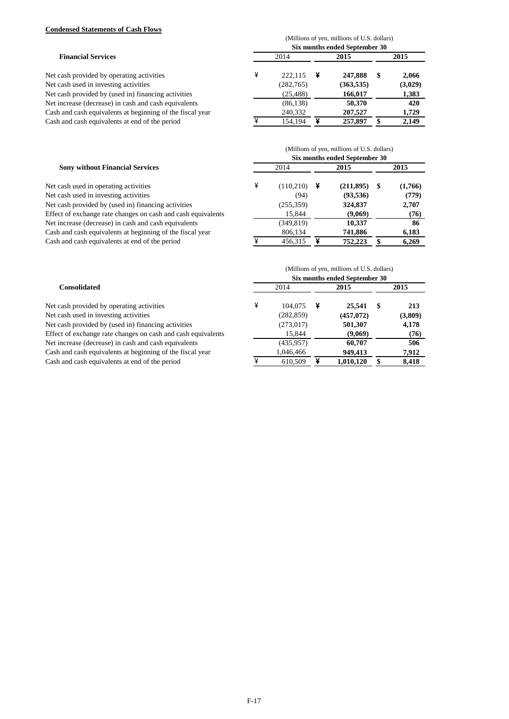# **Condensed Statements of Cash Flows**

|                                                                        | (Millions of yen, millions of U.S. dollars)<br>Six months ended September 30 |            |   |            |      |         |  |  |
|------------------------------------------------------------------------|------------------------------------------------------------------------------|------------|---|------------|------|---------|--|--|
| <b>Financial Services</b><br>Net cash provided by operating activities | 2014                                                                         |            |   | 2015       | 2015 |         |  |  |
|                                                                        | ¥                                                                            | 222,115    | ¥ | 247,888    | S    | 2,066   |  |  |
| Net cash used in investing activities                                  |                                                                              | (282, 765) |   | (363, 535) |      | (3,029) |  |  |
| Net cash provided by (used in) financing activities                    |                                                                              | (25, 488)  |   | 166,017    |      | 1,383   |  |  |
| Net increase (decrease) in cash and cash equivalents                   |                                                                              | (86, 138)  |   | 50,370     |      | 420     |  |  |
| Cash and cash equivalents at beginning of the fiscal year              |                                                                              | 240,332    |   | 207,527    |      | 1,729   |  |  |
| Cash and cash equivalents at end of the period                         |                                                                              | 154,194    | ¥ | 257,897    |      | 2,149   |  |  |

| <b>Sony without Financial Services</b>                       | (Millions of yen, millions of U.S. dollars)<br>Six months ended September 30 |            |   |           |   |         |  |  |
|--------------------------------------------------------------|------------------------------------------------------------------------------|------------|---|-----------|---|---------|--|--|
|                                                              | 2014                                                                         |            |   | 2015      |   | 2015    |  |  |
| Net cash used in operating activities                        |                                                                              | (110,210)  | ¥ | (211,895) | S | (1,766) |  |  |
| Net cash used in investing activities                        |                                                                              | (94)       |   | (93, 536) |   | (779)   |  |  |
| Net cash provided by (used in) financing activities          |                                                                              | (255, 359) |   | 324,837   |   | 2,707   |  |  |
| Effect of exchange rate changes on cash and cash equivalents |                                                                              | 15,844     |   | (9,069)   |   | (76)    |  |  |
| Net increase (decrease) in cash and cash equivalents         |                                                                              | (349, 819) |   | 10,337    |   | 86      |  |  |
| Cash and cash equivalents at beginning of the fiscal year    |                                                                              | 806,134    |   | 741,886   |   | 6,183   |  |  |
| Cash and cash equivalents at end of the period               |                                                                              | 456,315    |   | 752,223   |   | 6,269   |  |  |

|                                                              | (Millions of yen, millions of U.S. dollars) |            |      |           |   |         |  |  |  |
|--------------------------------------------------------------|---------------------------------------------|------------|------|-----------|---|---------|--|--|--|
| <b>Consolidated</b>                                          | Six months ended September 30               |            |      |           |   |         |  |  |  |
|                                                              | 2014                                        |            | 2015 |           |   | 2015    |  |  |  |
| Net cash provided by operating activities                    |                                             | 104,075    |      | 25,541    | S | 213     |  |  |  |
| Net cash used in investing activities                        |                                             | (282, 859) |      | (457,072) |   | (3,809) |  |  |  |
| Net cash provided by (used in) financing activities          |                                             | (273, 017) |      | 501,307   |   | 4,178   |  |  |  |
| Effect of exchange rate changes on cash and cash equivalents |                                             | 15.844     |      | (9,069)   |   | (76)    |  |  |  |
| Net increase (decrease) in cash and cash equivalents         |                                             | (435, 957) |      | 60,707    |   | 506     |  |  |  |
| Cash and cash equivalents at beginning of the fiscal year    |                                             | 1,046,466  |      | 949,413   |   | 7,912   |  |  |  |
| Cash and cash equivalents at end of the period               |                                             | 610,509    |      | 1,010,120 |   | 8,418   |  |  |  |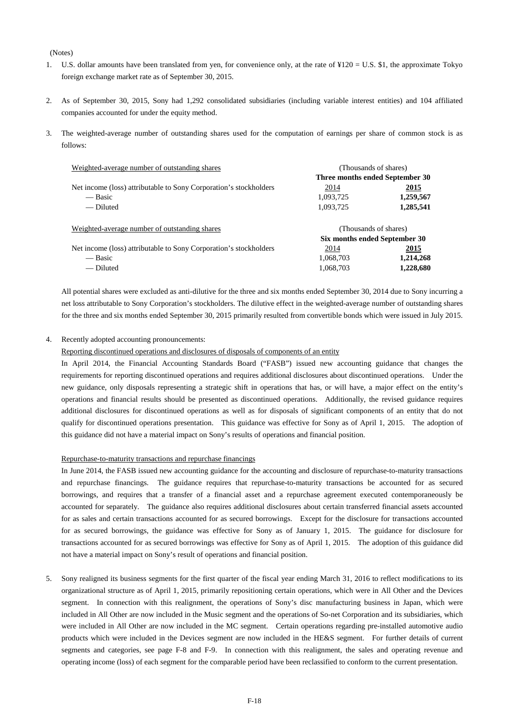#### (Notes)

- 1. U.S. dollar amounts have been translated from yen, for convenience only, at the rate of ¥120 = U.S. \$1, the approximate Tokyo foreign exchange market rate as of September 30, 2015.
- 2. As of September 30, 2015, Sony had 1,292 consolidated subsidiaries (including variable interest entities) and 104 affiliated companies accounted for under the equity method.
- 3. The weighted-average number of outstanding shares used for the computation of earnings per share of common stock is as follows:

| Weighted-average number of outstanding shares                     |                                 | (Thousands of shares) |  |  |  |
|-------------------------------------------------------------------|---------------------------------|-----------------------|--|--|--|
|                                                                   | Three months ended September 30 |                       |  |  |  |
| Net income (loss) attributable to Sony Corporation's stockholders | 2014                            | 2015                  |  |  |  |
| — Basic                                                           | 1,093,725                       | 1,259,567             |  |  |  |
| — Diluted                                                         | 1,093,725                       | 1,285,541             |  |  |  |
| Weighted-average number of outstanding shares                     | (Thousands of shares)           |                       |  |  |  |
|                                                                   | Six months ended September 30   |                       |  |  |  |
| Net income (loss) attributable to Sony Corporation's stockholders | 2014                            | 2015                  |  |  |  |
| — Basic                                                           | 1,068,703                       | 1,214,268             |  |  |  |
| — Diluted                                                         | 1,068,703                       | 1,228,680             |  |  |  |

All potential shares were excluded as anti-dilutive for the three and six months ended September 30, 2014 due to Sony incurring a net loss attributable to Sony Corporation's stockholders. The dilutive effect in the weighted-average number of outstanding shares for the three and six months ended September 30, 2015 primarily resulted from convertible bonds which were issued in July 2015.

#### 4. Recently adopted accounting pronouncements:

Reporting discontinued operations and disclosures of disposals of components of an entity

In April 2014, the Financial Accounting Standards Board ("FASB") issued new accounting guidance that changes the requirements for reporting discontinued operations and requires additional disclosures about discontinued operations. Under the new guidance, only disposals representing a strategic shift in operations that has, or will have, a major effect on the entity's operations and financial results should be presented as discontinued operations. Additionally, the revised guidance requires additional disclosures for discontinued operations as well as for disposals of significant components of an entity that do not qualify for discontinued operations presentation. This guidance was effective for Sony as of April 1, 2015. The adoption of this guidance did not have a material impact on Sony's results of operations and financial position.

#### Repurchase-to-maturity transactions and repurchase financings

In June 2014, the FASB issued new accounting guidance for the accounting and disclosure of repurchase-to-maturity transactions and repurchase financings. The guidance requires that repurchase-to-maturity transactions be accounted for as secured borrowings, and requires that a transfer of a financial asset and a repurchase agreement executed contemporaneously be accounted for separately. The guidance also requires additional disclosures about certain transferred financial assets accounted for as sales and certain transactions accounted for as secured borrowings. Except for the disclosure for transactions accounted for as secured borrowings, the guidance was effective for Sony as of January 1, 2015. The guidance for disclosure for transactions accounted for as secured borrowings was effective for Sony as of April 1, 2015. The adoption of this guidance did not have a material impact on Sony's result of operations and financial position.

5. Sony realigned its business segments for the first quarter of the fiscal year ending March 31, 2016 to reflect modifications to its organizational structure as of April 1, 2015, primarily repositioning certain operations, which were in All Other and the Devices segment. In connection with this realignment, the operations of Sony's disc manufacturing business in Japan, which were included in All Other are now included in the Music segment and the operations of So-net Corporation and its subsidiaries, which were included in All Other are now included in the MC segment. Certain operations regarding pre-installed automotive audio products which were included in the Devices segment are now included in the HE&S segment. For further details of current segments and categories, see page F-8 and F-9. In connection with this realignment, the sales and operating revenue and operating income (loss) of each segment for the comparable period have been reclassified to conform to the current presentation.